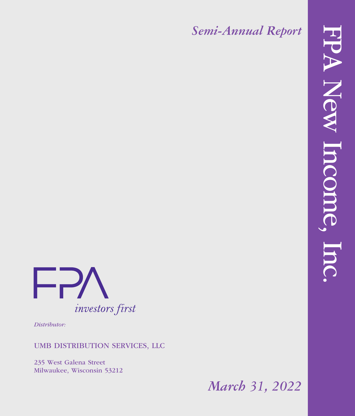*Semi-Annual Report*



*Distributor:*

### UMB DISTRIBUTION SERVICES, LLC

235 West Galena Street Milwaukee, Wisconsin 53212

*March 31, 2022*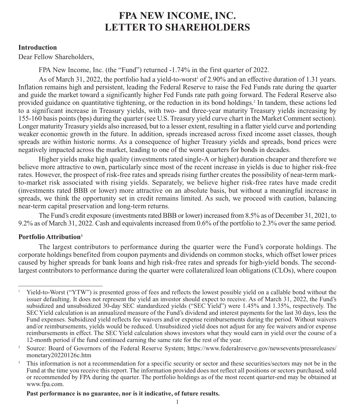#### **Introduction**

Dear Fellow Shareholders,

FPA New Income, Inc. (the "Fund") returned -1.74% in the first quarter of 2022.

As of March 31, 2022, the portfolio had a yield-to-worst<sup>1</sup> of 2.90% and an effective duration of 1.31 years. Inflation remains high and persistent, leading the Federal Reserve to raise the Fed Funds rate during the quarter and guide the market toward a significantly higher Fed Funds rate path going forward. The Federal Reserve also provided guidance on quantitative tightening, or the reduction in its bond holdings.2 In tandem, these actions led to a significant increase in Treasury yields, with two- and three-year maturity Treasury yields increasing by 155-160 basis points (bps) during the quarter (see U.S. Treasury yield curve chart in the Market Comment section). Longer maturity Treasury yields also increased, but to a lesser extent, resulting in a flatter yield curve and portending weaker economic growth in the future. In addition, spreads increased across fixed income asset classes, though spreads are within historic norms. As a consequence of higher Treasury yields and spreads, bond prices were negatively impacted across the market, leading to one of the worst quarters for bonds in decades.

Higher yields make high quality (investments rated single-A or higher) duration cheaper and therefore we believe more attractive to own, particularly since most of the recent increase in yields is due to higher risk-free rates. However, the prospect of risk-free rates and spreads rising further creates the possibility of near-term markto-market risk associated with rising yields. Separately, we believe higher risk-free rates have made credit (investments rated BBB or lower) more attractive on an absolute basis, but without a meaningful increase in spreads, we think the opportunity set in credit remains limited. As such, we proceed with caution, balancing near-term capital preservation and long-term returns.

The Fund's credit exposure (investments rated BBB or lower) increased from 8.5% as of December 31, 2021, to 9.2% as of March 31, 2022. Cash and equivalents increased from 0.6% of the portfolio to 2.3% over the same period.

#### **Portfolio Attribution3**

The largest contributors to performance during the quarter were the Fund's corporate holdings. The corporate holdings benefited from coupon payments and dividends on common stocks, which offset lower prices caused by higher spreads for bank loans and high risk-free rates and spreads for high-yield bonds. The secondlargest contributors to performance during the quarter were collateralized loan obligations (CLOs), where coupon

#### **Past performance is no guarantee, nor is it indicative, of future results.**

<sup>1</sup> Yield-to-Worst ("YTW") is presented gross of fees and reflects the lowest possible yield on a callable bond without the issuer defaulting. It does not represent the yield an investor should expect to receive. As of March 31, 2022, the Fund's subsidized and unsubsidized 30-day SEC standardized yields ("SEC Yield") were 1.45% and 1.35%, respectively. The SEC Yield calculation is an annualized measure of the Fund's dividend and interest payments for the last 30 days, less the Fund expenses. Subsidized yield reflects fee waivers and/or expense reimbursements during the period. Without waivers and/or reimbursements, yields would be reduced. Unsubsidized yield does not adjust for any fee waivers and/or expense reimbursements in effect. The SEC Yield calculation shows investors what they would earn in yield over the course of a 12-month period if the fund continued earning the same rate for the rest of the year.

<sup>&</sup>lt;sup>2</sup> Source: Board of Governors of the Federal Reserve System; https://www.federalreserve.gov/newsevents/pressreleases/ monetary20220126c.htm

This information is not a recommendation for a specific security or sector and these securities/sectors may not be in the Fund at the time you receive this report. The information provided does not reflect all positions or sectors purchased, sold or recommended by FPA during the quarter. The portfolio holdings as of the most recent quarter-end may be obtained at www.fpa.com.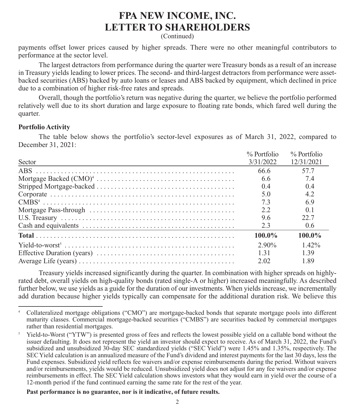(Continued)

payments offset lower prices caused by higher spreads. There were no other meaningful contributors to performance at the sector level.

The largest detractors from performance during the quarter were Treasury bonds as a result of an increase in Treasury yields leading to lower prices. The second- and third-largest detractors from performance were assetbacked securities (ABS) backed by auto loans or leases and ABS backed by equipment, which declined in price due to a combination of higher risk-free rates and spreads.

Overall, though the portfolio's return was negative during the quarter, we believe the portfolio performed relatively well due to its short duration and large exposure to floating rate bonds, which fared well during the quarter.

#### **Portfolio Activity**

The table below shows the portfolio's sector-level exposures as of March 31, 2022, compared to December 31, 2021:

|        | $%$ Portfolio | % Portfolio   |
|--------|---------------|---------------|
| Sector | 3/31/2022     | 12/31/2021    |
|        | 66.6          | 57.7          |
|        | 6.6           | 7.4           |
|        | 0.4           | 0.4           |
|        | 5.0           | 4.2           |
|        | 7.3           | 6.9           |
|        | 2.2           | 0.1           |
|        | 9.6           | 22.7          |
|        | 2.3           | $0.6^{\circ}$ |
|        | $100.0\%$     | $100.0\%$     |
|        | 2.90%         | $1.42\%$      |
|        | 1 3 1         | 1.39          |
|        | 2.02          | 1.89          |

Treasury yields increased significantly during the quarter. In combination with higher spreads on highlyrated debt, overall yields on high-quality bonds (rated single-A or higher) increased meaningfully. As described further below, we use yields as a guide for the duration of our investments. When yields increase, we incrementally add duration because higher yields typically can compensate for the additional duration risk. We believe this

 **Past performance is no guarantee, nor is it indicative, of future results.**

<sup>4</sup> Collateralized mortgage obligations ("CMO") are mortgage-backed bonds that separate mortgage pools into different maturity classes. Commercial mortgage-backed securities ("CMBS") are securities backed by commercial mortgages rather than residential mortgages.

<sup>5</sup> Yield-to-Worst ("YTW") is presented gross of fees and reflects the lowest possible yield on a callable bond without the issuer defaulting. It does not represent the yield an investor should expect to receive. As of March 31, 2022, the Fund's subsidized and unsubsidized 30-day SEC standardized yields ("SEC Yield") were 1.45% and 1.35%, respectively. The SEC Yield calculation is an annualized measure of the Fund's dividend and interest payments for the last 30 days, less the Fund expenses. Subsidized yield reflects fee waivers and/or expense reimbursements during the period. Without waivers and/or reimbursements, yields would be reduced. Unsubsidized yield does not adjust for any fee waivers and/or expense reimbursements in effect. The SEC Yield calculation shows investors what they would earn in yield over the course of a 12-month period if the fund continued earning the same rate for the rest of the year.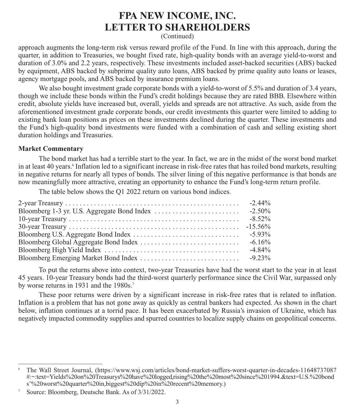(Continued)

approach augments the long-term risk versus reward profile of the Fund. In line with this approach, during the quarter, in addition to Treasuries, we bought fixed rate, high-quality bonds with an average yield-to-worst and duration of 3.0% and 2.2 years, respectively. These investments included asset-backed securities (ABS) backed by equipment, ABS backed by subprime quality auto loans, ABS backed by prime quality auto loans or leases, agency mortgage pools, and ABS backed by insurance premium loans.

We also bought investment grade corporate bonds with a yield-to-worst of 5.5% and duration of 3.4 years, though we include these bonds within the Fund's credit holdings because they are rated BBB. Elsewhere within credit, absolute yields have increased but, overall, yields and spreads are not attractive. As such, aside from the aforementioned investment grade corporate bonds, our credit investments this quarter were limited to adding to existing bank loan positions as prices on these investments declined during the quarter. These investments and the Fund's high-quality bond investments were funded with a combination of cash and selling existing short duration holdings and Treasuries.

#### **Market Commentary**

The bond market has had a terrible start to the year. In fact, we are in the midst of the worst bond market in at least 40 years.<sup>6</sup> Inflation led to a significant increase in risk-free rates that has roiled bond markets, resulting in negative returns for nearly all types of bonds. The silver lining of this negative performance is that bonds are now meaningfully more attractive, creating an opportunity to enhance the Fund's long-term return profile.

The table below shows the Q1 2022 return on various bond indices.

| $-8.52\%$ |
|-----------|
|           |
|           |
| $-6.16\%$ |
| $-4.84\%$ |
|           |

To put the returns above into context, two-year Treasuries have had the worst start to the year in at least 45 years. 10-year Treasury bonds had the third-worst quarterly performance since the Civil War, surpassed only by worse returns in 1931 and the 1980s.<sup>7</sup>

These poor returns were driven by a significant increase in risk-free rates that is related to inflation. Inflation is a problem that has not gone away as quickly as central bankers had expected. As shown in the chart below, inflation continues at a torrid pace. It has been exacerbated by Russia's invasion of Ukraine, which has negatively impacted commodity supplies and spurred countries to localize supply chains on geopolitical concerns.

<sup>6</sup> The Wall Street Journal, (https://www.wsj.com/articles/bond-market-suffers-worst-quarter-in-decades-11648737087 #:~:text=Yields%20on%20Treasurys%20have%20logged,rising%20the%20most%20since%201994.&text=U.S.%20bond s'%20worst%20quarter%20in,biggest%20dip%20in%20recent%20memory.)

Source: Bloomberg, Deutsche Bank. As of 3/31/2022.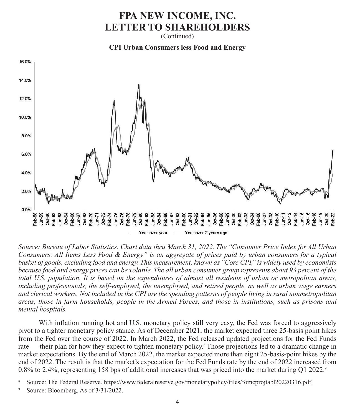(Continued)

**CPI Urban Consumers less Food and Energy**



*Source: Bureau of Labor Statistics. Chart data thru March 31, 2022. The "Consumer Price Index for All Urban Consumers: All Items Less Food & Energy" is an aggregate of prices paid by urban consumers for a typical basket of goods, excluding food and energy. This measurement, known as "Core CPI," is widely used by economists because food and energy prices can be volatile. The all urban consumer group represents about 93 percent of the total U.S. population. It is based on the expenditures of almost all residents of urban or metropolitan areas, including professionals, the self-employed, the unemployed, and retired people, as well as urban wage earners and clerical workers. Not included in the CPI are the spending patterns of people living in rural nonmetropolitan areas, those in farm households, people in the Armed Forces, and those in institutions, such as prisons and mental hospitals.*

With inflation running hot and U.S. monetary policy still very easy, the Fed was forced to aggressively pivot to a tighter monetary policy stance. As of December 2021, the market expected three 25-basis point hikes from the Fed over the course of 2022. In March 2022, the Fed released updated projections for the Fed Funds rate — their plan for how they expect to tighten monetary policy.<sup>8</sup> Those projections led to a dramatic change in market expectations. By the end of March 2022, the market expected more than eight 25-basis-point hikes by the end of 2022. The result is that the market's expectation for the Fed Funds rate by the end of 2022 increased from 0.8% to 2.4%, representing 158 bps of additional increases that was priced into the market during Q1 2022.9

<sup>8</sup> Source: The Federal Reserve. https://www.federalreserve.gov/monetarypolicy/files/fomcprojtabl20220316.pdf.

Source: Bloomberg. As of  $3/31/2022$ .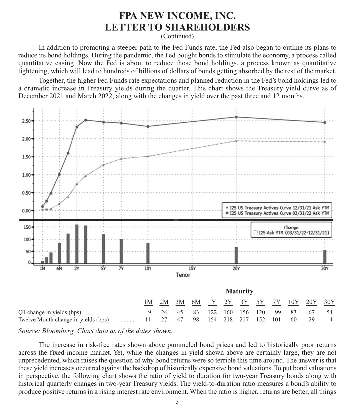(Continued)

In addition to promoting a steeper path to the Fed Funds rate, the Fed also began to outline its plans to reduce its bond holdings. During the pandemic, the Fed bought bonds to stimulate the economy, a process called quantitative easing. Now the Fed is about to reduce those bond holdings, a process known as quantitative tightening, which will lead to hundreds of billions of dollars of bonds getting absorbed by the rest of the market.

Together, the higher Fed Funds rate expectations and planned reduction in the Fed's bond holdings led to a dramatic increase in Treasury yields during the quarter. This chart shows the Treasury yield curve as of December 2021 and March 2022, along with the changes in yield over the past three and 12 months.



*Source: Bloomberg. Chart data as of the dates shown.*

The increase in risk-free rates shown above pummeled bond prices and led to historically poor returns across the fixed income market. Yet, while the changes in yield shown above are certainly large, they are not unprecedented, which raises the question of why bond returns were so terrible this time around. The answer is that these yield increases occurred against the backdrop of historically expensive bond valuations. To put bond valuations in perspective, the following chart shows the ratio of yield to duration for two-year Treasury bonds along with historical quarterly changes in two-year Treasury yields. The yield-to-duration ratio measures a bond's ability to produce positive returns in a rising interest rate environment. When the ratio is higher, returns are better, all things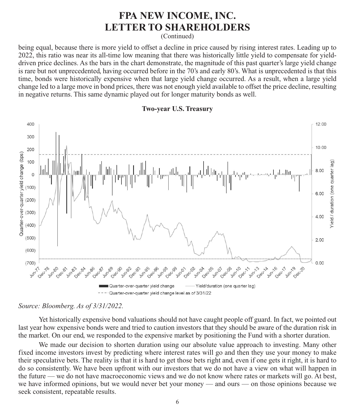(Continued)

being equal, because there is more yield to offset a decline in price caused by rising interest rates. Leading up to 2022, this ratio was near its all-time low meaning that there was historically little yield to compensate for yielddriven price declines. As the bars in the chart demonstrate, the magnitude of this past quarter's large yield change is rare but not unprecedented, having occurred before in the 70's and early 80's. What is unprecedented is that this time, bonds were historically expensive when that large yield change occurred. As a result, when a large yield change led to a large move in bond prices, there was not enough yield available to offset the price decline, resulting in negative returns. This same dynamic played out for longer maturity bonds as well.



#### **Two-year U.S. Treasury**

*Source: Bloomberg. As of 3/31/2022.*

Yet historically expensive bond valuations should not have caught people off guard. In fact, we pointed out last year how expensive bonds were and tried to caution investors that they should be aware of the duration risk in the market. On our end, we responded to the expensive market by positioning the Fund with a shorter duration.

We made our decision to shorten duration using our absolute value approach to investing. Many other fixed income investors invest by predicting where interest rates will go and then they use your money to make their speculative bets. The reality is that it is hard to get those bets right and, even if one gets it right, it is hard to do so consistently. We have been upfront with our investors that we do not have a view on what will happen in the future — we do not have macroeconomic views and we do not know where rates or markets will go. At best, we have informed opinions, but we would never bet your money — and ours — on those opinions because we seek consistent, repeatable results.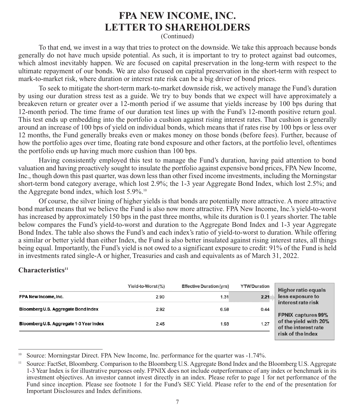(Continued)

To that end, we invest in a way that tries to protect on the downside. We take this approach because bonds generally do not have much upside potential. As such, it is important to try to protect against bad outcomes, which almost inevitably happen. We are focused on capital preservation in the long-term with respect to the ultimate repayment of our bonds. We are also focused on capital preservation in the short-term with respect to mark-to-market risk, where duration or interest rate risk can be a big driver of bond prices.

To seek to mitigate the short-term mark-to-market downside risk, we actively manage the Fund's duration by using our duration stress test as a guide. We try to buy bonds that we expect will have approximately a breakeven return or greater over a 12-month period if we assume that yields increase by 100 bps during that 12-month period. The time frame of our duration test lines up with the Fund's 12-month positive return goal. This test ends up embedding into the portfolio a cushion against rising interest rates. That cushion is generally around an increase of 100 bps of yield on individual bonds, which means that if rates rise by 100 bps or less over 12 months, the Fund generally breaks even or makes money on those bonds (before fees). Further, because of how the portfolio ages over time, floating rate bond exposure and other factors, at the portfolio level, oftentimes the portfolio ends up having much more cushion than 100 bps.

Having consistently employed this test to manage the Fund's duration, having paid attention to bond valuation and having proactively sought to insulate the portfolio against expensive bond prices, FPA New Income, Inc., though down this past quarter, was down less than other fixed income investments, including the Morningstar short-term bond category average, which lost 2.9%; the 1-3 year Aggregate Bond Index, which lost 2.5%; and the Aggregate bond index, which lost  $5.9\%$ <sup>10</sup>

Of course, the silver lining of higher yields is that bonds are potentially more attractive. A more attractive bond market means that we believe the Fund is also now more attractive. FPA New Income, Inc.'s yield-to-worst has increased by approximately 150 bps in the past three months, while its duration is 0.1 years shorter. The table below compares the Fund's yield-to-worst and duration to the Aggregate Bond Index and 1-3 year Aggregate Bond Index. The table also shows the Fund's and each index's ratio of yield-to-worst to duration. While offering a similar or better yield than either Index, the Fund is also better insulated against rising interest rates, all things being equal. Importantly, the Fund's yield is not owed to a significant exposure to credit: 91% of the Fund is held in investments rated single-A or higher, Treasuries and cash and equivalents as of March 31, 2022.

#### Characteristics<sup>11</sup>

|                                         | Yield-to-Worst (%) | <b>Effective Duration (yrs)</b> | <b>YTW/Duration</b> | <b>Higher ratio equals</b>                    |
|-----------------------------------------|--------------------|---------------------------------|---------------------|-----------------------------------------------|
| FPA New Income, Inc.                    | 2.90               | 1.31                            | 2.21                | less exposure to<br>interest rate risk        |
| Bloomberg U.S. Aggregate Bond Index     | 2.92               | 6.58                            | 0.44                | <b>FPNIX captures 99%</b>                     |
| Bloomberg U.S. Aggregate 1-3 Year Index | 2.45               | 1.93                            | 1.27                | of the yield with 20%<br>of the interest rate |
|                                         |                    |                                 |                     | risk of the Index                             |

Source: Morningstar Direct. FPA New Income, Inc. performance for the quarter was -1.74%.

<sup>11</sup> Source: FactSet, Bloomberg. Comparison to the Bloomberg U.S. Aggregate Bond Index and the Bloomberg U.S. Aggregate 1-3 Year Index is for illustrative purposes only. FPNIX does not include outperformance of any index or benchmark in its investment objectives. An investor cannot invest directly in an index. Please refer to page 1 for net performance of the Fund since inception. Please see footnote 1 for the Fund's SEC Yield. Please refer to the end of the presentation for Important Disclosures and Index definitions.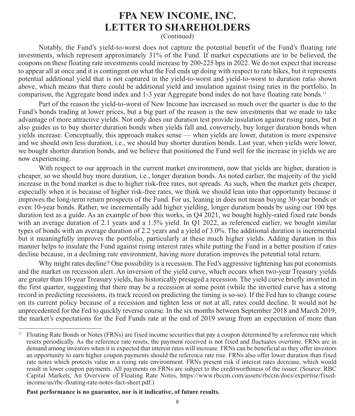(Continued)

Notably, the Fund's yield-to-worst does not capture the potential benefit of the Fund's floating rate investments, which represent approximately 31% of the Fund. If market expectations are to be believed, the coupons on these floating rate investments could increase by 200-225 bps in 2022. We do not expect that increase to appear all at once and it is contingent on what the Fed ends up doing with respect to rate hikes, but it represents potential additional yield that is not captured in the yield-to-worst and yield-to-worst to duration ratio shown above, which means that there could be additional yield and insulation against rising rates in the portfolio. In comparison, the Aggregate bond index and 1-3 year Aggregate bond index do not have floating rate bonds.<sup>12</sup>

Part of the reason the yield-to-worst of New Income has increased so much over the quarter is due to the Fund's bonds trading at lower prices, but a big part of the reason is the new investments that we made to take advantage of more attractive yields. Not only does our duration test provide insulation against rising rates, but it also guides us to buy shorter duration bonds when yields fall and, conversely, buy longer duration bonds when yields increase. Conceptually, this approach makes sense — when yields are lower, duration is more expensive and we should own less duration, i.e., we should buy shorter duration bonds. Last year, when yields were lower, we bought shorter duration bonds, and we believe that positioned the Fund well for the increase in yields we are now experiencing.

With respect to our approach in the current market environment, now that yields are higher, duration is cheaper, so we should buy more duration, i.e., longer duration bonds. As noted earlier, the majority of the yield increase in the bond market is due to higher risk-free rates, not spreads. As such, when the market gets cheaper, especially when it is because of higher risk-free rates, we think we should lean into that opportunity because it improves the long-term return prospects of the Fund. For us, leaning in does not mean buying 30-year bonds or even 10-year bonds. Rather, we incrementally add higher yielding, longer duration bonds by using our 100 bps duration test as a guide. As an example of how this works, in Q4 2021, we bought highly-rated fixed rate bonds with an average duration of 2.1 years and a 1.5% yield. In Q1 2022, as referenced earlier, we bought similar types of bonds with an average duration of 2.2 years and a yield of 3.0%. The additional duration is incremental but it meaningfully improves the portfolio, particularly at these much higher yields. Adding duration in this manner helps to insulate the Fund against rising interest rates while putting the Fund in a better position if rates decline because, in a declining rate environment, having more duration improves the potential total return.

Why might rates decline? One possibility is a recession. The Fed's aggressive tightening has put economists and the market on recession alert. An inversion of the yield curve, which occurs when two-year Treasury yields are greater than 10-year Treasury yields, has historically presaged a recession. The yield curve briefly inverted in the first quarter, suggesting that there may be a recession at some point (while the inverted curve has a strong record in predicting recessions, its track record on predicting the timing is so-so). If the Fed has to change course on its current policy because of a recession and tighten less or not at all, rates could decline. It would not be unprecedented for the Fed to quickly reverse course. In the six months between September 2018 and March 2019, the market's expectations for the Fed Funds rate at the end of 2019 swung from an expectation of more than

 $12$  Floating Rate Bonds or Notes (FRNs) are fixed income securities that pay a coupon determined by a reference rate which resets periodically. As the reference rate resets, the payment received is not fixed and fluctuates overtime. FRNs are in demand among investors when it is expected that interest rates will increase. FRNs can be beneficial as they offer investors an opportunity to earn higher coupon payments should the reference rate rise. FRNs also offer lower duration than fixed rate notes which protects value in a rising rate environment. FRNs present risk if interest rates decrease, which would result in lower coupon payments. All payments on FRNs are subject to the creditworthiness of the issuer. (Source: RBC Capital Markets, An Overview of Floating Rate Notes, https://www.rbccm.com/assets/rbccm/docs/expertise/fixedincome/us/rbc-floating-rate-notes-fact-sheet.pdf.)

**Past performance is no guarantee, nor is it indicative, of future results.**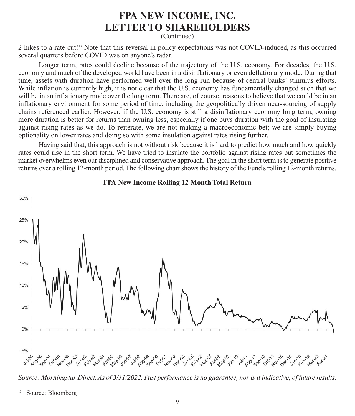(Continued)

2 hikes to a rate cut!13 Note that this reversal in policy expectations was not COVID-induced, as this occurred several quarters before COVID was on anyone's radar.

Longer term, rates could decline because of the trajectory of the U.S. economy. For decades, the U.S. economy and much of the developed world have been in a disinflationary or even deflationary mode. During that time, assets with duration have performed well over the long run because of central banks' stimulus efforts. While inflation is currently high, it is not clear that the U.S. economy has fundamentally changed such that we will be in an inflationary mode over the long term. There are, of course, reasons to believe that we could be in an inflationary environment for some period of time, including the geopolitically driven near-sourcing of supply chains referenced earlier. However, if the U.S. economy is still a disinflationary economy long term, owning more duration is better for returns than owning less, especially if one buys duration with the goal of insulating against rising rates as we do. To reiterate, we are not making a macroeconomic bet; we are simply buying optionality on lower rates and doing so with some insulation against rates rising further.

Having said that, this approach is not without risk because it is hard to predict how much and how quickly rates could rise in the short term. We have tried to insulate the portfolio against rising rates but sometimes the market overwhelms even our disciplined and conservative approach. The goal in the short term is to generate positive returns over a rolling 12-month period. The following chart shows the history of the Fund's rolling 12-month returns.



#### **FPA New Income Rolling 12 Month Total Return**

*Source: Morningstar Direct. As of 3/31/2022. Past performance is no guarantee, nor is it indicative, of future results.*

<sup>13</sup> Source: Bloomberg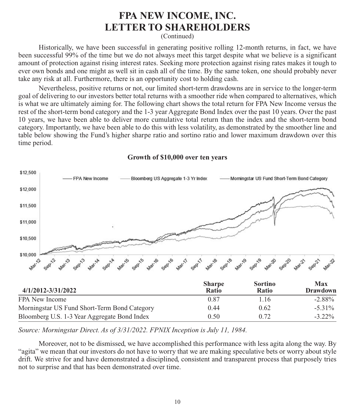(Continued)

Historically, we have been successful in generating positive rolling 12-month returns, in fact, we have been successful 99% of the time but we do not always meet this target despite what we believe is a significant amount of protection against rising interest rates. Seeking more protection against rising rates makes it tough to ever own bonds and one might as well sit in cash all of the time. By the same token, one should probably never take any risk at all. Furthermore, there is an opportunity cost to holding cash.

Nevertheless, positive returns or not, our limited short-term drawdowns are in service to the longer-term goal of delivering to our investors better total returns with a smoother ride when compared to alternatives, which is what we are ultimately aiming for. The following chart shows the total return for FPA New Income versus the rest of the short-term bond category and the 1-3 year Aggregate Bond Index over the past 10 years. Over the past 10 years, we have been able to deliver more cumulative total return than the index and the short-term bond category. Importantly, we have been able to do this with less volatility, as demonstrated by the smoother line and table below showing the Fund's higher sharpe ratio and sortino ratio and lower maximum drawdown over this time period.



**Growth of \$10,000 over ten years**

*Source: Morningstar Direct. As of 3/31/2022. FPNIX Inception is July 11, 1984.*

Moreover, not to be dismissed, we have accomplished this performance with less agita along the way. By "agita" we mean that our investors do not have to worry that we are making speculative bets or worry about style drift. We strive for and have demonstrated a disciplined, consistent and transparent process that purposely tries not to surprise and that has been demonstrated over time.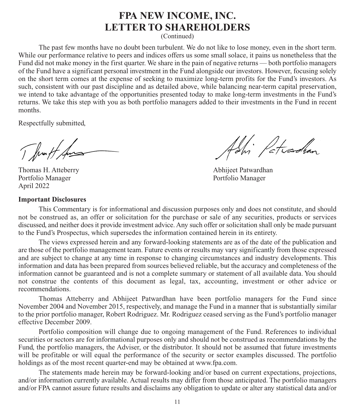(Continued)

The past few months have no doubt been turbulent. We do not like to lose money, even in the short term. While our performance relative to peers and indices offers us some small solace, it pains us nonetheless that the Fund did not make money in the first quarter. We share in the pain of negative returns — both portfolio managers of the Fund have a significant personal investment in the Fund alongside our investors. However, focusing solely on the short term comes at the expense of seeking to maximize long-term profits for the Fund's investors. As such, consistent with our past discipline and as detailed above, while balancing near-term capital preservation, we intend to take advantage of the opportunities presented today to make long-term investments in the Fund's returns. We take this step with you as both portfolio managers added to their investments in the Fund in recent months.

Respectfully submitted,

Thruft Ans

Thomas H. Atteberry **Abhijeet Patwardhan**<br>
Portfolio Manager<br>
Portfolio Manager Portfolio Manager April 2022

#### **Important Disclosures**

Adri Patradhan

This Commentary is for informational and discussion purposes only and does not constitute, and should not be construed as, an offer or solicitation for the purchase or sale of any securities, products or services discussed, and neither does it provide investment advice. Any such offer or solicitation shall only be made pursuant to the Fund's Prospectus, which supersedes the information contained herein in its entirety.

The views expressed herein and any forward-looking statements are as of the date of the publication and are those of the portfolio management team. Future events or results may vary significantly from those expressed and are subject to change at any time in response to changing circumstances and industry developments. This information and data has been prepared from sources believed reliable, but the accuracy and completeness of the information cannot be guaranteed and is not a complete summary or statement of all available data. You should not construe the contents of this document as legal, tax, accounting, investment or other advice or recommendations.

Thomas Atteberry and Abhijeet Patwardhan have been portfolio managers for the Fund since November 2004 and November 2015, respectively, and manage the Fund in a manner that is substantially similar to the prior portfolio manager, Robert Rodriguez. Mr. Rodriguez ceased serving as the Fund's portfolio manager effective December 2009.

Portfolio composition will change due to ongoing management of the Fund. References to individual securities or sectors are for informational purposes only and should not be construed as recommendations by the Fund, the portfolio managers, the Adviser, or the distributor. It should not be assumed that future investments will be profitable or will equal the performance of the security or sector examples discussed. The portfolio holdings as of the most recent quarter-end may be obtained at www.fpa.com.

The statements made herein may be forward-looking and/or based on current expectations, projections, and/or information currently available. Actual results may differ from those anticipated. The portfolio managers and/or FPA cannot assure future results and disclaims any obligation to update or alter any statistical data and/or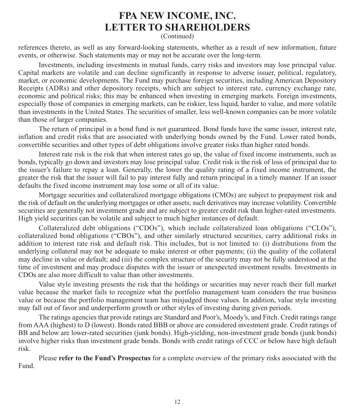(Continued)

references thereto, as well as any forward-looking statements, whether as a result of new information, future events, or otherwise. Such statements may or may not be accurate over the long-term.

Investments, including investments in mutual funds, carry risks and investors may lose principal value. Capital markets are volatile and can decline significantly in response to adverse issuer, political, regulatory, market, or economic developments. The Fund may purchase foreign securities, including American Depository Receipts (ADRs) and other depository receipts, which are subject to interest rate, currency exchange rate, economic and political risks; this may be enhanced when investing in emerging markets. Foreign investments, especially those of companies in emerging markets, can be riskier, less liquid, harder to value, and more volatile than investments in the United States. The securities of smaller, less well-known companies can be more volatile than those of larger companies.

The return of principal in a bond fund is not guaranteed. Bond funds have the same issuer, interest rate, inflation and credit risks that are associated with underlying bonds owned by the Fund. Lower rated bonds, convertible securities and other types of debt obligations involve greater risks than higher rated bonds.

Interest rate risk is the risk that when interest rates go up, the value of fixed income instruments, such as bonds, typically go down and investors may lose principal value. Credit risk is the risk of loss of principal due to the issuer's failure to repay a loan. Generally, the lower the quality rating of a fixed income instrument, the greater the risk that the issuer will fail to pay interest fully and return principal in a timely manner. If an issuer defaults the fixed income instrument may lose some or all of its value.

Mortgage securities and collateralized mortgage obligations (CMOs) are subject to prepayment risk and the risk of default on the underlying mortgages or other assets; such derivatives may increase volatility. Convertible securities are generally not investment grade and are subject to greater credit risk than higher-rated investments. High yield securities can be volatile and subject to much higher instances of default.

Collateralized debt obligations ("CDOs"), which include collateralized loan obligations ("CLOs"), collateralized bond obligations ("CBOs"), and other similarly structured securities, carry additional risks in addition to interest rate risk and default risk. This includes, but is not limited to: (i) distributions from the underlying collateral may not be adequate to make interest or other payments; (ii) the quality of the collateral may decline in value or default; and (iii) the complex structure of the security may not be fully understood at the time of investment and may produce disputes with the issuer or unexpected investment results. Investments in CDOs are also more difficult to value than other investments.

Value style investing presents the risk that the holdings or securities may never reach their full market value because the market fails to recognize what the portfolio management team considers the true business value or because the portfolio management team has misjudged those values. In addition, value style investing may fall out of favor and underperform growth or other styles of investing during given periods.

The ratings agencies that provide ratings are Standard and Poor's, Moody's, and Fitch. Credit ratings range from AAA (highest) to D (lowest). Bonds rated BBB or above are considered investment grade. Credit ratings of BB and below are lower-rated securities (junk bonds). High-yielding, non-investment grade bonds (junk bonds) involve higher risks than investment grade bonds. Bonds with credit ratings of CCC or below have high default risk.

Please **refer to the Fund's Prospectus** for a complete overview of the primary risks associated with the Fund.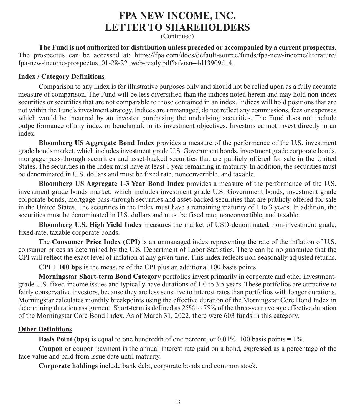(Continued)

**The Fund is not authorized for distribution unless preceded or accompanied by a current prospectus.** The prospectus can be accessed at: https://fpa.com/docs/default-source/funds/fpa-new-income/literature/ fpa-new-income-prospectus\_01-28-22\_web-ready.pdf?sfvrsn=4d13909d\_4.

#### **Index / Category Definitions**

Comparison to any index is for illustrative purposes only and should not be relied upon as a fully accurate measure of comparison. The Fund will be less diversified than the indices noted herein and may hold non-index securities or securities that are not comparable to those contained in an index. Indices will hold positions that are not within the Fund's investment strategy. Indices are unmanaged, do not reflect any commissions, fees or expenses which would be incurred by an investor purchasing the underlying securities. The Fund does not include outperformance of any index or benchmark in its investment objectives. Investors cannot invest directly in an index.

**Bloomberg US Aggregate Bond Index** provides a measure of the performance of the U.S. investment grade bonds market, which includes investment grade U.S. Government bonds, investment grade corporate bonds, mortgage pass-through securities and asset-backed securities that are publicly offered for sale in the United States. The securities in the Index must have at least 1 year remaining in maturity. In addition, the securities must be denominated in U.S. dollars and must be fixed rate, nonconvertible, and taxable.

**Bloomberg US Aggregate 1-3 Year Bond Index** provides a measure of the performance of the U.S. investment grade bonds market, which includes investment grade U.S. Government bonds, investment grade corporate bonds, mortgage pass-through securities and asset-backed securities that are publicly offered for sale in the United States. The securities in the Index must have a remaining maturity of 1 to 3 years. In addition, the securities must be denominated in U.S. dollars and must be fixed rate, nonconvertible, and taxable.

**Bloomberg U.S. High Yield Index** measures the market of USD-denominated, non-investment grade, fixed-rate, taxable corporate bonds.

The **Consumer Price Index (CPI)** is an unmanaged index representing the rate of the inflation of U.S. consumer prices as determined by the U.S. Department of Labor Statistics. There can be no guarantee that the CPI will reflect the exact level of inflation at any given time. This index reflects non-seasonally adjusted returns.

**CPI + 100 bps** is the measure of the CPI plus an additional 100 basis points.

**Morningstar Short-term Bond Category** portfolios invest primarily in corporate and other investmentgrade U.S. fixed-income issues and typically have durations of 1.0 to 3.5 years. These portfolios are attractive to fairly conservative investors, because they are less sensitive to interest rates than portfolios with longer durations. Morningstar calculates monthly breakpoints using the effective duration of the Morningstar Core Bond Index in determining duration assignment. Short-term is defined as 25% to 75% of the three-year average effective duration of the Morningstar Core Bond Index. As of March 31, 2022, there were 603 funds in this category.

### **Other Definitions**

**Basis Point (bps)** is equal to one hundredth of one percent, or 0.01%. 100 basis points = 1%.

**Coupon** or coupon payment is the annual interest rate paid on a bond, expressed as a percentage of the face value and paid from issue date until maturity.

**Corporate holdings** include bank debt, corporate bonds and common stock.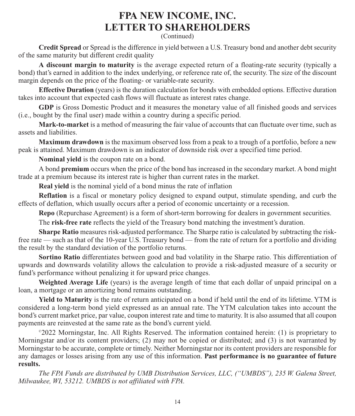(Continued)

**Credit Spread** or Spread is the difference in yield between a U.S. Treasury bond and another debt security of the same maturity but different credit quality

**A discount margin to maturity** is the average expected return of a floating-rate security (typically a bond) that's earned in addition to the index underlying, or reference rate of, the security. The size of the discount margin depends on the price of the floating- or variable-rate security.

**Effective Duration** (years) is the duration calculation for bonds with embedded options. Effective duration takes into account that expected cash flows will fluctuate as interest rates change.

**GDP** is Gross Domestic Product and it measures the monetary value of all finished goods and services (i.e., bought by the final user) made within a country during a specific period.

**Mark-to-market** is a method of measuring the fair value of accounts that can fluctuate over time, such as assets and liabilities.

**Maximum drawdown** is the maximum observed loss from a peak to a trough of a portfolio, before a new peak is attained. Maximum drawdown is an indicator of downside risk over a specified time period.

**Nominal yield** is the coupon rate on a bond.

A bond **premium** occurs when the price of the bond has increased in the secondary market. A bond might trade at a premium because its interest rate is higher than current rates in the market.

**Real yield** is the nominal yield of a bond minus the rate of inflation

**Reflation** is a fiscal or monetary policy designed to expand output, stimulate spending, and curb the effects of deflation, which usually occurs after a period of economic uncertainty or a recession.

**Repo** (Repurchase Agreement) is a form of short-term borrowing for dealers in government securities.

The **risk-free rate** reflects the yield of the Treasury bond matching the investment's duration.

**Sharpe Ratio** measures risk-adjusted performance. The Sharpe ratio is calculated by subtracting the riskfree rate — such as that of the 10-year U.S. Treasury bond — from the rate of return for a portfolio and dividing the result by the standard deviation of the portfolio returns.

**Sortino Ratio** differentiates between good and bad volatility in the Sharpe ratio. This differentiation of upwards and downwards volatility allows the calculation to provide a risk-adjusted measure of a security or fund's performance without penalizing it for upward price changes.

**Weighted Average Life** (years) is the average length of time that each dollar of unpaid principal on a loan, a mortgage or an amortizing bond remains outstanding.

**Yield to Maturity** is the rate of return anticipated on a bond if held until the end of its lifetime. YTM is considered a long-term bond yield expressed as an annual rate. The YTM calculation takes into account the bond's current market price, par value, coupon interest rate and time to maturity. It is also assumed that all coupon payments are reinvested at the same rate as the bond's current yield.

©2022 Morningstar, Inc. All Rights Reserved. The information contained herein: (1) is proprietary to Morningstar and/or its content providers; (2) may not be copied or distributed; and (3) is not warranted by Morningstar to be accurate, complete or timely. Neither Morningstar nor its content providers are responsible for any damages or losses arising from any use of this information. **Past performance is no guarantee of future results.**

*The FPA Funds are distributed by UMB Distribution Services, LLC, ("UMBDS"), 235 W. Galena Street, Milwaukee, WI, 53212. UMBDS is not affiliated with FPA.*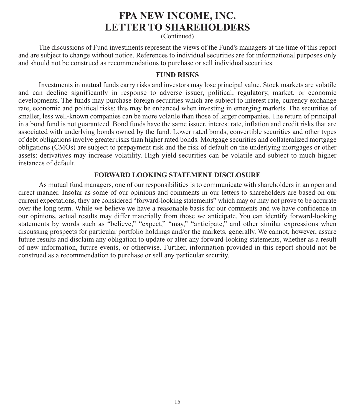(Continued)

The discussions of Fund investments represent the views of the Fund's managers at the time of this report and are subject to change without notice. References to individual securities are for informational purposes only and should not be construed as recommendations to purchase or sell individual securities.

#### **FUND RISKS**

Investments in mutual funds carry risks and investors may lose principal value. Stock markets are volatile and can decline significantly in response to adverse issuer, political, regulatory, market, or economic developments. The funds may purchase foreign securities which are subject to interest rate, currency exchange rate, economic and political risks: this may be enhanced when investing in emerging markets. The securities of smaller, less well-known companies can be more volatile than those of larger companies. The return of principal in a bond fund is not guaranteed. Bond funds have the same issuer, interest rate, inflation and credit risks that are associated with underlying bonds owned by the fund. Lower rated bonds, convertible securities and other types of debt obligations involve greater risks than higher rated bonds. Mortgage securities and collateralized mortgage obligations (CMOs) are subject to prepayment risk and the risk of default on the underlying mortgages or other assets; derivatives may increase volatility. High yield securities can be volatile and subject to much higher instances of default.

#### **FORWARD LOOKING STATEMENT DISCLOSURE**

As mutual fund managers, one of our responsibilities is to communicate with shareholders in an open and direct manner. Insofar as some of our opinions and comments in our letters to shareholders are based on our current expectations, they are considered "forward-looking statements" which may or may not prove to be accurate over the long term. While we believe we have a reasonable basis for our comments and we have confidence in our opinions, actual results may differ materially from those we anticipate. You can identify forward-looking statements by words such as "believe," "expect," "may," "anticipate," and other similar expressions when discussing prospects for particular portfolio holdings and/or the markets, generally. We cannot, however, assure future results and disclaim any obligation to update or alter any forward-looking statements, whether as a result of new information, future events, or otherwise. Further, information provided in this report should not be construed as a recommendation to purchase or sell any particular security.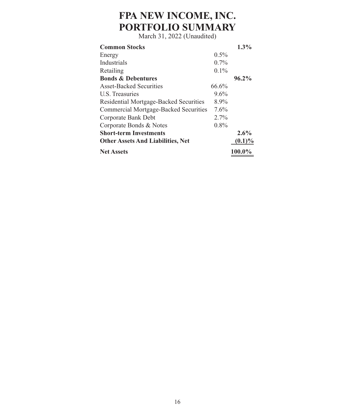# **FPA NEW INCOME, INC. PORTFOLIO SUMMARY**

| $0.5\%$<br>Energy<br>Industrials<br>$0.7\%$<br>$0.1\%$<br>Retailing<br><b>Bonds &amp; Debentures</b><br><b>Asset-Backed Securities</b><br>66.6%<br>U.S. Treasuries<br>$9.6\%$<br>Residential Mortgage-Backed Securities<br>8.9%<br>Commercial Mortgage-Backed Securities<br>$7.6\%$<br>Corporate Bank Debt<br>$2.7\%$<br>Corporate Bonds & Notes<br>$0.8\%$<br><b>Short-term Investments</b><br><b>Other Assets And Liabilities, Net</b><br><b>Net Assets</b> | <b>Common Stocks</b> | $1.3\%$   |
|---------------------------------------------------------------------------------------------------------------------------------------------------------------------------------------------------------------------------------------------------------------------------------------------------------------------------------------------------------------------------------------------------------------------------------------------------------------|----------------------|-----------|
|                                                                                                                                                                                                                                                                                                                                                                                                                                                               |                      |           |
|                                                                                                                                                                                                                                                                                                                                                                                                                                                               |                      |           |
|                                                                                                                                                                                                                                                                                                                                                                                                                                                               |                      |           |
|                                                                                                                                                                                                                                                                                                                                                                                                                                                               |                      | $96.2\%$  |
|                                                                                                                                                                                                                                                                                                                                                                                                                                                               |                      |           |
|                                                                                                                                                                                                                                                                                                                                                                                                                                                               |                      |           |
|                                                                                                                                                                                                                                                                                                                                                                                                                                                               |                      |           |
|                                                                                                                                                                                                                                                                                                                                                                                                                                                               |                      |           |
|                                                                                                                                                                                                                                                                                                                                                                                                                                                               |                      |           |
|                                                                                                                                                                                                                                                                                                                                                                                                                                                               |                      |           |
|                                                                                                                                                                                                                                                                                                                                                                                                                                                               |                      | $2.6\%$   |
|                                                                                                                                                                                                                                                                                                                                                                                                                                                               |                      | $(0.1)\%$ |
|                                                                                                                                                                                                                                                                                                                                                                                                                                                               |                      | 100.0%    |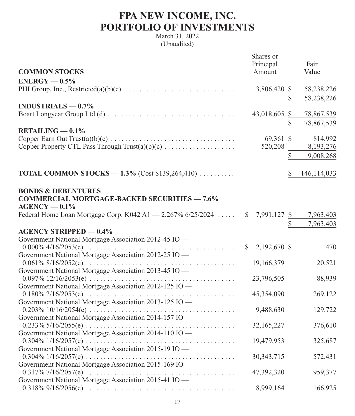## **FPA NEW INCOME, INC. PORTFOLIO OF INVESTMENTS**

|                                                               | Shares or                    |              |               |
|---------------------------------------------------------------|------------------------------|--------------|---------------|
|                                                               | Principal                    |              | Fair          |
| <b>COMMON STOCKS</b>                                          | Amount                       |              | Value         |
| $ENERGY - 0.5%$                                               |                              |              |               |
|                                                               | 3,806,420 \$                 |              | 58,238,226    |
|                                                               |                              | \$           | 58,238,226    |
| INDUSTRIALS $-0.7\%$                                          |                              |              |               |
|                                                               | 43,018,605 \$                |              | 78,867,539    |
|                                                               |                              | \$           | 78,867,539    |
| $RETAILING - 0.1%$                                            |                              |              |               |
|                                                               | 69,361 \$                    |              | 814,992       |
| Copper Property CTL Pass Through Trust(a)(b)(c)               | 520,208                      |              | 8,193,276     |
|                                                               |                              | $\mathbb{S}$ | 9,008,268     |
|                                                               |                              |              |               |
| <b>TOTAL COMMON STOCKS - 1.3%</b> (Cost \$139,264,410)        |                              | S            | 146, 114, 033 |
|                                                               |                              |              |               |
| <b>BONDS &amp; DEBENTURES</b>                                 |                              |              |               |
| <b>COMMERCIAL MORTGAGE-BACKED SECURITIES - 7.6%</b>           |                              |              |               |
| $AGENCY - 0.1%$                                               |                              |              |               |
| Federal Home Loan Mortgage Corp. K042 A1 $-$ 2.267% 6/25/2024 | 7,991,127 \$<br>$\mathbb{S}$ |              | 7,963,403     |
|                                                               |                              | \$           | 7,963,403     |
| <b>AGENCY STRIPPED - 0.4%</b>                                 |                              |              |               |
| Government National Mortgage Association 2012-45 IO -         |                              |              |               |
|                                                               | 2,192,670 \$<br>S            |              | 470           |
| Government National Mortgage Association 2012-25 IO -         |                              |              |               |
|                                                               | 19,166,379                   |              | 20,521        |
| Government National Mortgage Association 2013-45 IO —         |                              |              |               |
| Government National Mortgage Association 2012-125 IO -        | 23,796,505                   |              | 88,939        |
|                                                               | 45,354,090                   |              | 269,122       |
| Government National Mortgage Association 2013-125 IO -        |                              |              |               |
|                                                               | 9,488,630                    |              | 129,722       |
| Government National Mortgage Association 2014-157 IO -        |                              |              |               |
|                                                               | 32,165,227                   |              | 376,610       |
| Government National Mortgage Association 2014-110 IO -        |                              |              |               |
|                                                               | 19,479,953                   |              | 325,687       |
| Government National Mortgage Association 2015-19 IO -         |                              |              |               |
|                                                               | 30, 343, 715                 |              | 572,431       |
| Government National Mortgage Association 2015-169 IO -        |                              |              |               |
|                                                               | 47,392,320                   |              | 959,377       |
| Government National Mortgage Association 2015-41 IO —         |                              |              |               |
|                                                               | 8,999,164                    |              | 166,925       |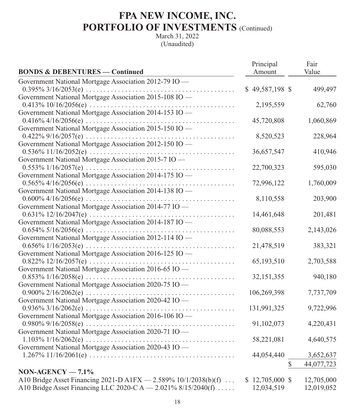| <b>BONDS &amp; DEBENTURES — Continued</b>                       | Principal<br>Amount | Fair<br>Value |
|-----------------------------------------------------------------|---------------------|---------------|
| Government National Mortgage Association 2012-79 IO -           |                     |               |
|                                                                 | $$49,587,198$ \$    | 499,497       |
| Government National Mortgage Association 2015-108 IO -          |                     |               |
| Government National Mortgage Association 2014-153 IO -          | 2,195,559           | 62,760        |
|                                                                 | 45,720,808          | 1,060,869     |
| Government National Mortgage Association 2015-150 IO -          |                     |               |
|                                                                 | 8,520,523           | 228,964       |
| Government National Mortgage Association 2012-150 IO -          |                     |               |
|                                                                 | 36,657,547          | 410,946       |
| Government National Mortgage Association 2015-7 IO -            |                     |               |
|                                                                 | 22,700,323          | 595,030       |
| Government National Mortgage Association 2014-175 IO -          |                     |               |
|                                                                 | 72,996,122          | 1,760,009     |
| Government National Mortgage Association 2014-138 IO -          |                     |               |
|                                                                 | 8,110,558           | 203,900       |
| Government National Mortgage Association 2014-77 IO -           |                     |               |
|                                                                 | 14,461,648          | 201,481       |
| Government National Mortgage Association 2014-187 IO -          |                     |               |
|                                                                 | 80,088,553          | 2,143,026     |
| Government National Mortgage Association 2012-114 IO -          |                     |               |
|                                                                 | 21,478,519          | 383,321       |
| Government National Mortgage Association 2016-125 IO -          |                     |               |
|                                                                 | 65,193,510          | 2,703,588     |
| Government National Mortgage Association 2016-65 IO -           | 32,151,355          | 940,180       |
| Government National Mortgage Association 2020-75 IO -           |                     |               |
|                                                                 | 106,269,398         | 7,737,709     |
| Government National Mortgage Association 2020-42 IO -           |                     |               |
|                                                                 | 131,991,325         | 9,722,996     |
| Government National Mortgage Association 2016-106 IO -          |                     |               |
|                                                                 | 91,102,073          | 4,220,431     |
| Government National Mortgage Association 2020-71 IO -           |                     |               |
|                                                                 | 58,221,081          | 4,640,575     |
| Government National Mortgage Association 2020-43 IO —           |                     |               |
|                                                                 | 44,054,440          | 3,652,637     |
|                                                                 | $\mathbb{S}$        | 44,077,723    |
| $NON-AGENCY-7.1%$                                               |                     |               |
| A10 Bridge Asset Financing 2021-D A1FX - 2.589% 10/1/2038(b)(f) | $$12,705,000$ \$    | 12,705,000    |
| A10 Bridge Asset Financing LLC 2020-C A - 2.021% 8/15/2040(f)   | 12,034,519          | 12,019,052    |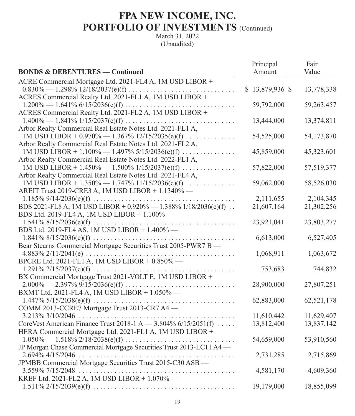|                                                                     | Principal       | Fair       |
|---------------------------------------------------------------------|-----------------|------------|
| <b>BONDS &amp; DEBENTURES — Continued</b>                           | Amount          | Value      |
| ACRE Commercial Mortgage Ltd. 2021-FL4 A, 1M USD LIBOR +            |                 |            |
|                                                                     | \$13,879,936 \$ | 13,778,338 |
| ACRES Commercial Realty Ltd. 2021-FL1 A, 1M USD LIBOR +             |                 |            |
|                                                                     | 59,792,000      | 59,263,457 |
| ACRES Commercial Realty Ltd. 2021-FL2 A, 1M USD LIBOR +             |                 |            |
| $1.400\% - 1.841\% 1/15/2037(e)(f) \ldots$                          | 13,444,000      | 13,374,811 |
| Arbor Realty Commercial Real Estate Notes Ltd. 2021-FL1 A,          |                 |            |
| 1M USD LIBOR + $0.970\% - 1.367\%$ 12/15/2035(e)(f)                 | 54,525,000      | 54,173,870 |
| Arbor Realty Commercial Real Estate Notes Ltd. 2021-FL2 A,          |                 |            |
| 1M USD LIBOR + 1.100% - 1.497% 5/15/2036(e)(f)                      | 45,859,000      | 45,323,601 |
| Arbor Realty Commercial Real Estate Notes Ltd. 2022-FL1 A,          |                 |            |
| 1M USD LIBOR + 1.450% - 1.500% $1/15/2037(e)(f)$                    | 57,822,000      | 57,519,377 |
| Arbor Realty Commercial Real Estate Notes Ltd. 2021-FL4 A,          |                 |            |
| 1M USD LIBOR + 1.350% - 1.747% 11/15/2036(e)(f)                     | 59,062,000      | 58,526,030 |
| AREIT Trust 2019-CRE3 A, 1M USD LIBOR + 1.1340% -                   |                 |            |
|                                                                     | 2,111,655       | 2,104,345  |
| BDS 2021-FL8 A, 1M USD LIBOR + $0.920\% - 1.388\%$ 1/18/2036(e)(f). | 21,607,164      | 21,302,256 |
| BDS Ltd. 2019-FL4 A, 1M USD LIBOR + 1.100% -                        |                 |            |
|                                                                     | 23,921,041      | 23,803,277 |
| BDS Ltd. 2019-FL4 AS, 1M USD LIBOR + 1.400% -                       |                 |            |
|                                                                     | 6,613,000       | 6,527,405  |
| Bear Stearns Commercial Mortgage Securities Trust 2005-PWR7 B -     |                 |            |
|                                                                     | 1,068,911       | 1,063,672  |
| BPCRE Ltd. 2021-FL1 A, 1M USD LIBOR + 0.850% -                      |                 |            |
|                                                                     | 753,683         | 744,832    |
| BX Commercial Mortgage Trust 2021-VOLT E, 1M USD LIBOR +            |                 |            |
|                                                                     | 28,900,000      | 27,807,251 |
| BXMT Ltd. 2021-FL4 A, 1M USD LIBOR + 1.050% -                       |                 |            |
|                                                                     | 62,883,000      | 62,521,178 |
| COMM 2013-CCRE7 Mortgage Trust 2013-CR7 A4 —                        |                 |            |
|                                                                     | 11,610,442      | 11,629,407 |
| Core Vest American Finance Trust 2018-1 A $-$ 3.804% 6/15/2051(f)   | 13,812,400      | 13,837,142 |
| HERA Commercial Mortgage Ltd. 2021-FL1 A, 1M USD LIBOR +            |                 |            |
|                                                                     | 54,659,000      | 53,910,560 |
| JP Morgan Chase Commercial Mortgage Securities Trust 2013-LC11 A4 — |                 |            |
|                                                                     | 2,731,285       | 2,715,869  |
| JPMBB Commercial Mortgage Securities Trust 2015-C30 ASB -           |                 |            |
|                                                                     | 4,581,170       | 4,609,360  |
| KREF Ltd. 2021-FL2 A, 1M USD LIBOR + 1.070% -                       |                 |            |
|                                                                     | 19,179,000      | 18,855,099 |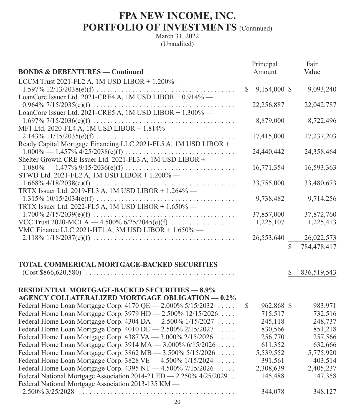|                                                                      |    | Principal    |    | Fair        |
|----------------------------------------------------------------------|----|--------------|----|-------------|
| <b>BONDS &amp; DEBENTURES — Continued</b>                            |    | Amount       |    | Value       |
| LCCM Trust 2021-FL2 A, 1M USD LIBOR $+ 1.200\%$ —                    |    |              |    |             |
|                                                                      | S. | 9,154,000 \$ |    | 9,093,240   |
| LoanCore Issuer Ltd. 2021-CRE4 A, 1M USD LIBOR + 0.914% -            |    |              |    |             |
|                                                                      |    | 22,256,887   |    | 22,042,787  |
| LoanCore Issuer Ltd. 2021-CRE5 A, 1M USD LIBOR + 1.300% -            |    |              |    |             |
|                                                                      |    | 8,879,000    |    | 8,722,496   |
| MF1 Ltd. 2020-FL4 A, 1M USD LIBOR + 1.814% -                         |    |              |    |             |
|                                                                      |    | 17,415,000   |    | 17,237,203  |
| Ready Capital Mortgage Financing LLC 2021-FL5 A, 1M USD LIBOR +      |    |              |    |             |
|                                                                      |    | 24,440,442   |    | 24,358,464  |
| Shelter Growth CRE Issuer Ltd. 2021-FL3 A, 1M USD LIBOR +            |    |              |    |             |
|                                                                      |    | 16,771,354   |    | 16,593,363  |
| STWD Ltd. 2021-FL2 A, 1M USD LIBOR + 1.200% -                        |    |              |    |             |
|                                                                      |    | 33,755,000   |    | 33,480,673  |
| TRTX Issuer Ltd. 2019-FL3 A, 1M USD LIBOR + 1.264% -                 |    |              |    |             |
|                                                                      |    | 9,738,482    |    | 9,714,256   |
| TRTX Issuer Ltd. 2022-FL5 A, 1M USD LIBOR + 1.650% -                 |    |              |    |             |
|                                                                      |    | 37,857,000   |    | 37,872,760  |
| VCC Trust 2020-MC1 A $-$ 4.500% 6/25/2045(e)(f)                      |    | 1,225,107    |    | 1,225,413   |
| VMC Finance LLC 2021-HT1 A, 3M USD LIBOR + 1.650% -                  |    |              |    |             |
|                                                                      |    | 26,553,640   |    | 26,022,573  |
|                                                                      |    |              | \$ | 784,478,417 |
|                                                                      |    |              |    |             |
| <b>TOTAL COMMERICAL MORTGAGE-BACKED SECURITIES</b>                   |    |              |    |             |
|                                                                      |    |              | S  | 836,519,543 |
|                                                                      |    |              |    |             |
| <b>RESIDENTIAL MORTGAGE-BACKED SECURITIES - 8.9%</b>                 |    |              |    |             |
| <b>AGENCY COLLATERALIZED MORTGAGE OBLIGATION - 0.2%</b>              |    |              |    |             |
| Federal Home Loan Mortgage Corp. 4170 QE - 2.000% 5/15/2032          | \$ | 962,868 \$   |    | 983,971     |
| Federal Home Loan Mortgage Corp. 3979 HD - 2.500% 12/15/2026         |    | 715,517      |    | 732,516     |
| Federal Home Loan Mortgage Corp. 4304 DA - 2.500% 1/15/2027          |    | 245,118      |    | 248,737     |
| Federal Home Loan Mortgage Corp. 4010 DE - 2.500% 2/15/2027          |    | 830,566      |    | 851,218     |
| Federal Home Loan Mortgage Corp. 4387 VA - 3.000% 2/15/2026          |    | 256,770      |    | 257,566     |
| Federal Home Loan Mortgage Corp. 3914 MA - 3.000% 6/15/2026          |    | 611,352      |    | 632,666     |
| Federal Home Loan Mortgage Corp. 3862 MB - 3.500% 5/15/2026          |    | 5,539,552    |    | 5,775,920   |
| Federal Home Loan Mortgage Corp. 3828 VE - 4.500% 1/15/2024          |    | 391,561      |    | 403,514     |
| Federal Home Loan Mortgage Corp. 4395 NT - 4.500% 7/15/2026          |    | 2,308,639    |    | 2,405,237   |
| Federal National Mortgage Association 2014-21 ED - 2.250% 4/25/2029. |    | 145,488      |    | 147,358     |
| Federal National Mortgage Association 2013-135 KM -                  |    |              |    |             |
|                                                                      |    | 344,078      |    | 348,127     |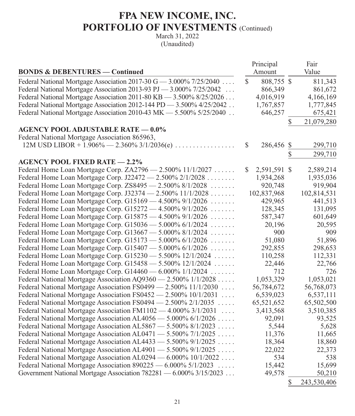| <b>BONDS &amp; DEBENTURES - Continued</b>                             |              | Principal<br>Amount | Fair<br>Value     |
|-----------------------------------------------------------------------|--------------|---------------------|-------------------|
| Federal National Mortgage Association 2017-30 G $-$ 3.000% 7/25/2040  | $\mathbb{S}$ | 808,755 \$          | 811,343           |
| Federal National Mortgage Association 2013-93 PJ - 3.000% 7/25/2042   |              | 866,349             | 861,672           |
| Federal National Mortgage Association 2011-80 KB - 3.500% 8/25/2026   |              | 4,016,919           | 4,166,169         |
| Federal National Mortgage Association 2012-144 PD - 3.500% 4/25/2042. |              | 1,767,857           | 1,777,845         |
| Federal National Mortgage Association 2010-43 MK - 5.500% 5/25/2040   |              | 646,257             | 675,421           |
|                                                                       |              |                     | \$<br>21,079,280  |
| <b>AGENCY POOL ADJUSTABLE RATE - 0.0%</b>                             |              |                     |                   |
| Federal National Mortgage Association 865963,                         |              |                     |                   |
| $12M$ USD LIBOR + $1.906\% - 2.360\%$ 3/1/2036(e)                     | $\mathbb{S}$ | 286,456 \$          | 299,710           |
|                                                                       |              |                     | \$<br>299,710     |
| <b>AGENCY POOL FIXED RATE - 2.2%</b>                                  |              |                     |                   |
| Federal Home Loan Mortgage Corp. ZA2796 - 2.500% 11/1/2027            | S            | 2,591,591 \$        | 2,589,214         |
| Federal Home Loan Mortgage Corp. J22472 - 2.500% 2/1/2028             |              | 1,934,268           | 1,935,036         |
| Federal Home Loan Mortgage Corp. ZS8495 - 2.500% 8/1/2028             |              | 920,748             | 919,904           |
| Federal Home Loan Mortgage Corp. J32374 - 2.500% 11/1/2028            |              | 102,837,968         | 102,814,531       |
| Federal Home Loan Mortgage Corp. G15169 - 4.500% 9/1/2026             |              | 429,965             | 441,513           |
| Federal Home Loan Mortgage Corp. G15272 - 4.500% 9/1/2026             |              | 128,345             | 131,095           |
| Federal Home Loan Mortgage Corp. G15875 - 4.500% 9/1/2026             |              | 587,347             | 601,649           |
| Federal Home Loan Mortgage Corp. G15036 - 5.000% 6/1/2024             |              | 20,196              | 20,595            |
| Federal Home Loan Mortgage Corp. G13667 - 5.000% 8/1/2024             |              | 900                 | 909               |
| Federal Home Loan Mortgage Corp. G15173 - 5.000% 6/1/2026             |              | 51,080              | 51,896            |
| Federal Home Loan Mortgage Corp. $G15407 - 5.000\%$ 6/1/2026          |              | 292,855             | 298,653           |
| Federal Home Loan Mortgage Corp. G15230 - 5.500% 12/1/2024            |              | 110,258             | 112,331           |
| Federal Home Loan Mortgage Corp. G15458 - 5.500% 12/1/2024            |              | 22,446              | 22,766            |
| Federal Home Loan Mortgage Corp. G14460 - 6.000% 1/1/2024             |              | 712                 | 726               |
| Federal National Mortgage Association AQ9360 - 2.500% 1/1/2028        |              | 1,053,329           | 1,053,021         |
| Federal National Mortgage Association FS0499 - 2.500% 11/1/2030       |              | 56,784,672          | 56,768,073        |
| Federal National Mortgage Association FS0452 - 2.500% 10/1/2031       |              | 6,539,023           | 6,537,111         |
| Federal National Mortgage Association FS0494 - 2.500% 2/1/2035        |              | 65,521,652          | 65,502,500        |
| Federal National Mortgage Association FM1102 - 4.000% 3/1/2031        |              | 3,413,568           | 3,510,385         |
| Federal National Mortgage Association AL4056 - 5.000% 6/1/2026        |              | 92,091              | 93,525            |
| Federal National Mortgage Association AL5867 - 5.500% 8/1/2023        |              | 5,544               | 5,628             |
| Federal National Mortgage Association AL0471 - 5.500% 7/1/2025        |              | 11,376              | 11,665            |
| Federal National Mortgage Association AL4433 - 5.500% 9/1/2025        |              | 18,364              | 18,860            |
| Federal National Mortgage Association AL4901 - 5.500% 9/1/2025        |              | 22,022              | 22,373            |
| Federal National Mortgage Association AL0294 - 6.000% 10/1/2022       |              | 534                 | 538               |
| Federal National Mortgage Association $890225 - 6.000\% 5/1/2023$     |              | 15,442              | 15,699            |
| Government National Mortgage Association 782281 - 6.000% 3/15/2023    |              | 49,578              | 50,210            |
|                                                                       |              |                     | \$<br>243,530,406 |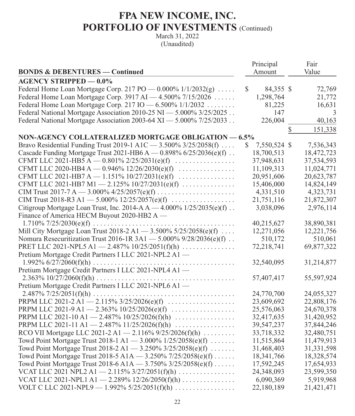|                                                                           | Principal          | Fair          |
|---------------------------------------------------------------------------|--------------------|---------------|
| <b>BONDS &amp; DEBENTURES — Continued</b>                                 | Amount             | Value         |
| <b>AGENCY STRIPPED - 0.0%</b>                                             |                    |               |
| Federal Home Loan Mortgage Corp. 217 PO $-$ 0.000% 1/1/2032(g)            | \$<br>84,355 \$    | 72,769        |
| Federal Home Loan Mortgage Corp. 3917 AI - 4.500% 7/15/2026               | 1,298,764          | 21,772        |
| Federal Home Loan Mortgage Corp. 217 IO - 6.500% 1/1/2032                 | 81,225             | 16,631        |
| Federal National Mortgage Association 2010-25 NI - 5.000% 3/25/2025       | 147                | 3             |
| Federal National Mortgage Association 2003-64 XI - 5.000% 7/25/2033       | 226,004            | 40,163        |
|                                                                           |                    | \$<br>151,338 |
| <b>NON-AGENCY COLLATERALIZED MORTGAGE OBLIGATION - 6.5%</b>               |                    |               |
| Bravo Residential Funding Trust 2019-1 A1C - 3.500% 3/25/2058(f)          | \$<br>7,550,524 \$ | 7,536,343     |
| Cascade Funding Mortgage Trust 2021-HB6 A $-$ 0.898% 6/25/2036(e)(f).     | 18,700,513         | 18,472,723    |
| CFMT LLC 2021-HB5 A $-$ 0.801% 2/25/2031(e)(f)                            | 37,948,631         | 37,534,593    |
| CFMT LLC 2020-HB4 A - 0.946% $12/26/2030(e)(f)$                           | 11,109,313         | 11,024,771    |
| CFMT LLC 2021-HB7 A - 1.151% $10/27/2031(e)(f)$                           | 20,951,606         | 20,623,787    |
| CFMT LLC 2021-HB7 M1 - 2.125% $10/27/2031(e)(f)$                          | 15,406,000         | 14,824,149    |
|                                                                           | 4,331,510          | 4,323,731     |
|                                                                           | 21,751,116         | 21,872,307    |
| Citigroup Mortgage Loan Trust, Inc. 2014-A $A - 4.000\%$ 1/25/2035(e)(f). | 3,038,096          | 2,976,114     |
| Finance of America HECM Buyout 2020-HB2 A —                               |                    |               |
|                                                                           | 40,215,627         | 38,890,381    |
| Mill City Mortgage Loan Trust 2018-2 A1 - 3.500% 5/25/2058(e)(f)          | 12,271,056         | 12,221,756    |
| Nomura Resecuritization Trust 2016-1R 3A1 - 5.000% 9/28/2036(e)(f)        | 510,172            | 510,061       |
| PRET LLC 2021-NPL5 A1 - 2.487% $10/25/2051(f)(h)$                         | 72,218,741         | 69,877,322    |
| Pretium Mortgage Credit Partners I LLC 2021-NPL2 A1 -                     |                    |               |
|                                                                           | 32,540,095         | 31,214,877    |
| Pretium Mortgage Credit Partners I LLC 2021-NPL4 A1 -                     |                    |               |
|                                                                           | 57,407,417         | 55,597,924    |
| Pretium Mortgage Credit Partners I LLC 2021-NPL6 A1 -                     |                    |               |
|                                                                           | 24,770,700         | 24,055,327    |
|                                                                           | 23,609,692         | 22,808,176    |
| PRPM LLC 2021-9 A1 - 2.363% $10/25/2026(e)(f)$                            | 25,576,063         | 24,670,378    |
| PRPM LLC 2021-10 A1 - 2.487% 10/25/2026(f)(h)                             | 32,417,635         | 31,420,952    |
| PRPM LLC 2021-11 A1 - 2.487% 11/25/2026(f)(h)                             | 39,547,237         | 37,844,246    |
| RCO VII Mortgage LLC 2021-2 A1 - 2.116% $9/25/2026(f)(h)$                 | 33,718,332         | 32,480,751    |
| Towd Point Mortgage Trust 2018-1 A1 - 3.000% $1/25/2058(e)(f)$            | 11,515,864         | 11,479,913    |
| Towd Point Mortgage Trust 2018-2 A1 - 3.250% 3/25/2058(e)(f)              | 31,468,403         | 31,331,598    |
| Towd Point Mortgage Trust 2018-5 A1A - 3.250% 7/25/2058(e)(f)             | 18,341,766         | 18,328,574    |
| Towd Point Mortgage Trust 2018-6 A1A - 3.750% $3/25/2058(e)(f)$           | 17,592,245         | 17,654,933    |
| VCAT LLC 2021 NPL2 A1 - 2.115% $3/27/2051(f)(h)$                          | 24,348,093         | 23,599,350    |
| VCAT LLC 2021-NPL1 A1 - 2.289% 12/26/2050(f)(h)                           | 6,090,369          | 5,919,968     |
| VOLT C LLC 2021-NPL9 - 1.992% $5/25/2051(f)(h)$                           | 22,180,189         | 21,421,471    |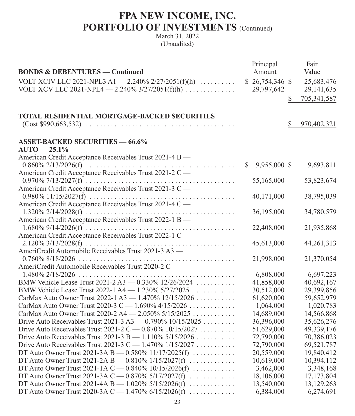|                                                              |    | Principal        |    | Fair        |
|--------------------------------------------------------------|----|------------------|----|-------------|
| <b>BONDS &amp; DEBENTURES — Continued</b>                    |    | Amount           |    | Value       |
| VOLT XCIV LLC 2021-NPL3 A1 - 2.240% 2/27/2051(f)(h) $\ldots$ |    | $$26,754,346$ \$ |    | 25,683,476  |
| VOLT XCV LLC 2021-NPL4 $-$ 2.240% 3/27/2051(f)(h)            |    | 29,797,642       |    | 29,141,635  |
|                                                              |    |                  | \$ | 705,341,587 |
|                                                              |    |                  |    |             |
| <b>TOTAL RESIDENTIAL MORTGAGE-BACKED SECURITIES</b>          |    |                  |    |             |
|                                                              |    |                  | S  | 970,402,321 |
| <b>ASSET-BACKED SECURITIES - 66.6%</b>                       |    |                  |    |             |
| $AUTO - 25.1%$                                               |    |                  |    |             |
| American Credit Acceptance Receivables Trust 2021-4 B -      |    |                  |    |             |
|                                                              | S. | 9,955,000 \$     |    | 9,693,811   |
| American Credit Acceptance Receivables Trust 2021-2 C-       |    |                  |    |             |
|                                                              |    | 55,165,000       |    | 53,823,674  |
| American Credit Acceptance Receivables Trust 2021-3 C-       |    |                  |    |             |
|                                                              |    | 40,171,000       |    | 38,795,039  |
| American Credit Acceptance Receivables Trust 2021-4 C-       |    |                  |    |             |
|                                                              |    | 36,195,000       |    | 34,780,579  |
| American Credit Acceptance Receivables Trust 2022-1 B -      |    |                  |    |             |
|                                                              |    | 22,408,000       |    | 21,935,868  |
| American Credit Acceptance Receivables Trust 2022-1 C-       |    |                  |    |             |
|                                                              |    | 45,613,000       |    | 44,261,313  |
| AmeriCredit Automobile Receivables Trust 2021-3 A3 -         |    |                  |    |             |
|                                                              |    | 21,998,000       |    | 21,370,054  |
| AmeriCredit Automobile Receivables Trust 2020-2 C -          |    | 6,808,000        |    | 6,697,223   |
| BMW Vehicle Lease Trust 2021-2 A3 - 0.330% 12/26/2024        |    | 41,858,000       |    | 40,692,167  |
| BMW Vehicle Lease Trust 2022-1 A4 - 1.230% 5/27/2025         |    | 30,512,000       |    | 29,399,856  |
| CarMax Auto Owner Trust 2022-1 A3 - 1.470% 12/15/2026        |    | 61,620,000       |    | 59,652,979  |
| CarMax Auto Owner Trust 2020-3 C - 1.690% 4/15/2026          |    | 1,064,000        |    | 1,020,783   |
| CarMax Auto Owner Trust 2020-2 A4 - 2.050% 5/15/2025         |    | 14,689,000       |    | 14,566,868  |
| Drive Auto Receivables Trust 2021-3 A3 $-$ 0.790% 10/15/2025 |    | 36,396,000       |    | 35,626,276  |
| Drive Auto Receivables Trust 2021-2 C — $0.870\%$ 10/15/2027 |    | 51,629,000       |    | 49,339,176  |
| Drive Auto Receivables Trust 2021-3 B - 1.110% 5/15/2026     |    | 72,790,000       |    | 70,386,023  |
| Drive Auto Receivables Trust 2021-3 C — 1.470% $1/15/2027$   |    | 72,790,000       |    | 69,521,787  |
| DT Auto Owner Trust 2021-3A B — $0.580\%$ 11/17/2025(f)      |    | 20,559,000       |    | 19,840,412  |
| DT Auto Owner Trust 2021-2A B — $0.810\%$ 1/15/2027(f)       |    | 10,619,000       |    | 10,394,112  |
| DT Auto Owner Trust 2021-1A C — 0.840% $10/15/2026(f)$       |    | 3,462,000        |    | 3,348,168   |
| DT Auto Owner Trust 2021-3A C $-$ 0.870% 5/17/2027(f)        |    | 18,106,000       |    | 17,173,804  |
| DT Auto Owner Trust 2021-4A B — 1.020% 5/15/2026(f)          |    | 13,540,000       |    | 13,129,263  |
| DT Auto Owner Trust 2020-3A C $-$ 1.470% 6/15/2026(f)        |    | 6,384,000        |    | 6,274,691   |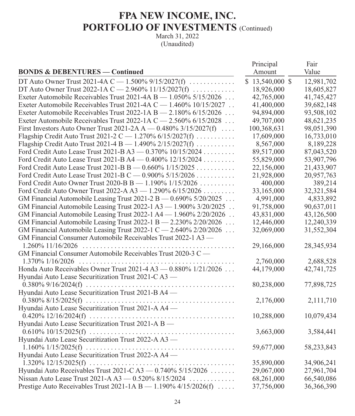|                                                                     | Principal        | Fair       |
|---------------------------------------------------------------------|------------------|------------|
| <b>BONDS &amp; DEBENTURES — Continued</b>                           | Amount           | Value      |
| DT Auto Owner Trust 2021-4A C $-$ 1.500% 9/15/2027(f)               | $$13,540,000$ \$ | 12,981,702 |
| DT Auto Owner Trust 2022-1A C - 2.960% 11/15/2027(f)                | 18,926,000       | 18,605,827 |
| Exeter Automobile Receivables Trust 2021-4A B - 1.050% 5/15/2026    | 42,765,000       | 41,745,427 |
| Exeter Automobile Receivables Trust 2021-4A C - 1.460% 10/15/2027   | 41,400,000       | 39,682,148 |
| Exeter Automobile Receivables Trust 2022-1A B - 2.180% 6/15/2026    | 94,894,000       | 93,508,102 |
| Exeter Automobile Receivables Trust 2022-1A C $-$ 2.560% 6/15/2028  | 49,707,000       | 48,621,235 |
| First Investors Auto Owner Trust 2021-2A A $-$ 0.480% 3/15/2027(f)  | 100,368,631      | 98,051,390 |
| Flagship Credit Auto Trust 2021-2 C - 1.270% $6/15/2027(f)$         | 17,609,000       | 16,733,010 |
| Flagship Credit Auto Trust 2021-4 B - 1.490% 2/15/2027(f)           | 8,567,000        | 8,189,228  |
| Ford Credit Auto Lease Trust 2021-B A3 - 0.370% 10/15/2024          | 89,517,000       | 87,043,520 |
| Ford Credit Auto Lease Trust 2021-B A4 - 0.400% 12/15/2024          | 55,829,000       | 53,907,796 |
| Ford Credit Auto Lease Trust 2021-B B - 0.660% 1/15/2025            | 22,156,000       | 21,433,907 |
| Ford Credit Auto Lease Trust 2021-B C - 0.900% 5/15/2026            | 21,928,000       | 20,957,763 |
| Ford Credit Auto Owner Trust 2020-B B - 1.190% 1/15/2026            | 400,000          | 389,214    |
| Ford Credit Auto Owner Trust 2022-A A3 - 1.290% 6/15/2026           | 33,165,000       | 32,321,584 |
| GM Financial Automobile Leasing Trust 2021-2 B $-$ 0.690% 5/20/2025 | 4,991,000        | 4,833,892  |
| GM Financial Automobile Leasing Trust 2022-1 A3 - 1.900% 3/20/2025  | 91,758,000       | 90,637,011 |
| GM Financial Automobile Leasing Trust 2022-1 A4 - 1.960% 2/20/2026  | 43,831,000       | 43,126,500 |
| GM Financial Automobile Leasing Trust 2022-1 B - 2.230% 2/20/2026   | 12,446,000       | 12,240,339 |
| GM Financial Automobile Leasing Trust 2022-1 C - 2.640% 2/20/2026   | 32,069,000       | 31,552,304 |
| GM Financial Consumer Automobile Receivables Trust 2022-1 A3 -      |                  |            |
|                                                                     | 29,166,000       | 28,345,934 |
| GM Financial Consumer Automobile Receivables Trust 2020-3 C -       |                  |            |
|                                                                     | 2,760,000        | 2,688,528  |
| Honda Auto Receivables Owner Trust 2021-4 A3 - 0.880% 1/21/2026     | 44,179,000       | 42,741,725 |
| Hyundai Auto Lease Securitization Trust 2021-C A3 —                 |                  |            |
|                                                                     | 80,238,000       | 77,898,725 |
| Hyundai Auto Lease Securitization Trust 2021-B A4 -                 |                  |            |
|                                                                     | 2,176,000        | 2,111,710  |
| Hyundai Auto Lease Securitization Trust 2021-A A4 -                 |                  |            |
|                                                                     | 10,288,000       | 10,079,434 |
| Hyundai Auto Lease Securitization Trust 2021-A B —                  |                  |            |
|                                                                     | 3,663,000        | 3,584,441  |
| Hyundai Auto Lease Securitization Trust 2022-A A3 -                 |                  |            |
|                                                                     | 59,677,000       | 58,233,843 |
| Hyundai Auto Lease Securitization Trust 2022-A A4 -                 |                  |            |
|                                                                     | 35,890,000       | 34,906,241 |
| Hyundai Auto Receivables Trust 2021-C A3 - 0.740% 5/15/2026         | 29,067,000       | 27,961,704 |
| Nissan Auto Lease Trust 2021-A A3 - 0.520% 8/15/2024                | 68,261,000       | 66,540,086 |
| Prestige Auto Receivables Trust 2021-1A B $-$ 1.190% 4/15/2026(f)   | 37,756,000       | 36,366,390 |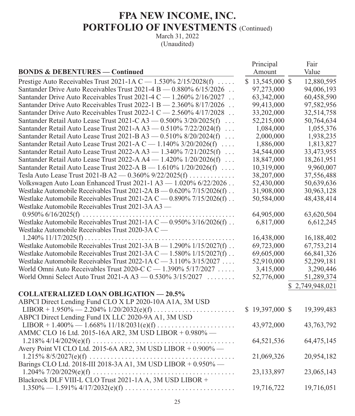| <b>BONDS &amp; DEBENTURES — Continued</b>                                      | Principal<br>Amount | Fair<br>Value |
|--------------------------------------------------------------------------------|---------------------|---------------|
| Prestige Auto Receivables Trust 2021-1A C - 1.530% 2/15/2028(f)                | $$13,545,000$ \$    | 12,880,595    |
| Santander Drive Auto Receivables Trust 2021-4 B - 0.880% 6/15/2026             | 97,273,000          | 94,006,193    |
| Santander Drive Auto Receivables Trust 2021-4 C - 1.260% 2/16/2027             | 63,342,000          | 60,458,590    |
| Santander Drive Auto Receivables Trust 2022-1 B - 2.360% 8/17/2026             | 99,413,000          | 97,582,956    |
| Santander Drive Auto Receivables Trust 2022-1 C - 2.560% 4/17/2028             | 33,202,000          | 32,514,758    |
| Santander Retail Auto Lease Trust 2021-C A3 - 0.500% 3/20/2025(f)<br>$\ldots$  | 52,215,000          | 50,764,634    |
| Santander Retail Auto Lease Trust 2021-A A3 - 0.510% 7/22/2024(f)<br>$\ldots$  | 1,084,000           | 1,055,376     |
| Santander Retail Auto Lease Trust 2021-B A3 - 0.510% 8/20/2024(f)<br>$\cdot$ . | 2,000,000           | 1,938,235     |
| Santander Retail Auto Lease Trust 2021-A C - 1.140% 3/20/2026(f)               | 1,886,000           | 1,813,827     |
| Santander Retail Auto Lease Trust 2022-A A3 - 1.340% 7/21/2025(f)              | 34,544,000          | 33,473,955    |
| Santander Retail Auto Lease Trust 2022-A A4 - 1.420% 1/20/2026(f)              | 18,847,000          | 18,261,951    |
| Santander Retail Auto Lease Trust 2022-A B - 1.610% 1/20/2026(f)               | 10,319,000          | 9,960,007     |
| Tesla Auto Lease Trust 2021-B A2 — $0.360\%$ 9/22/2025(f)                      | 38,207,000          | 37,556,488    |
| Volkswagen Auto Loan Enhanced Trust 2021-1 A3 - 1.020% 6/22/2026               | 52,430,000          | 50,639,636    |
| Westlake Automobile Receivables Trust 2021-2A B - 0.620% 7/15/2026(f).         | 31,908,000          | 30,963,128    |
| Westlake Automobile Receivables Trust 2021-2A C $-$ 0.890% 7/15/2026(f).       | 50,584,000          | 48,438,414    |
| Westlake Automobile Receivables Trust 2021-3A A3 -                             |                     |               |
|                                                                                | 64,905,000          | 63,620,504    |
| Westlake Automobile Receivables Trust 2021-1A C - 0.950% 3/16/2026(f)          | 6,817,000           | 6,612,245     |
| Westlake Automobile Receivables Trust 2020-3A C -                              |                     |               |
|                                                                                | 16,438,000          | 16,188,402    |
| Westlake Automobile Receivables Trust 2021-3A B - 1.290% 1/15/2027(f)          | 69,723,000          | 67,753,214    |
| Westlake Automobile Receivables Trust 2021-3A C $-$ 1.580% 1/15/2027(f).       | 69,605,000          | 66,841,326    |
| Westlake Automobile Receivables Trust 2022-1A C - 3.110% 3/15/2027             | 52,910,000          | 52,299,181    |
| World Omni Auto Receivables Trust 2020-C C - 1.390% 5/17/2027                  | 3,415,000           | 3,290,446     |
| World Omni Select Auto Trust 2021-A A3 - 0.530% 3/15/2027                      | 52,776,000          | 51,289,374    |
|                                                                                |                     | 2,749,948,021 |
| <b>COLLATERALIZED LOAN OBLIGATION - 20.5%</b>                                  |                     |               |
| ABPCI Direct Lending Fund CLO X LP 2020-10A A1A, 3M USD                        |                     |               |
|                                                                                | $$19,397,000$ \$    | 19,399,483    |
| ABPCI Direct Lending Fund IX LLC 2020-9A A1, 3M USD                            |                     |               |
|                                                                                | 43,972,000          | 43,763,792    |
| AMMC CLO 16 Ltd. 2015-16A AR2, 3M USD LIBOR + 0.980% -                         |                     |               |
|                                                                                | 64,521,536          | 64,475,145    |
| Avery Point VI CLO Ltd. 2015-6A AR2, 3M USD LIBOR + 0.900% —                   |                     |               |
| $\sim$                                                                         | 21,069,326          | 20,954,182    |
| Barings CLO Ltd. 2018-III 2018-3A A1, 3M USD LIBOR + 0.950% -                  |                     |               |
|                                                                                | 23, 133, 897        | 23,065,143    |
| Blackrock DLF VIII-L CLO Trust 2021-1A A, 3M USD LIBOR +                       |                     |               |
|                                                                                | 19,716,722          | 19,716,051    |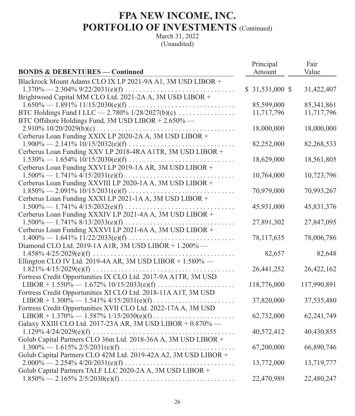|                                                                                                                                                                                        | Principal        | Fair        |
|----------------------------------------------------------------------------------------------------------------------------------------------------------------------------------------|------------------|-------------|
| <b>BONDS &amp; DEBENTURES - Continued</b>                                                                                                                                              | Amount           | Value       |
| Blackrock Mount Adams CLO IX LP 2021-9A A1, 3M USD LIBOR +                                                                                                                             |                  |             |
|                                                                                                                                                                                        | $$31,531,000$ \$ | 31,422,407  |
| Brightwood Capital MM CLO Ltd. 2021-2A A, 3M USD LIBOR +                                                                                                                               |                  |             |
| $1.650\% - 1.891\% 11/15/2030(e)(f) \ldots$                                                                                                                                            | 85,599,000       | 85,341,861  |
| BTC Holdings Fund I LLC $-$ 2.780% 1/28/2027(b)(c)                                                                                                                                     | 11,717,796       | 11,717,796  |
| BTC Offshore Holdings Fund, 3M USD LIBOR + 2.650% -                                                                                                                                    |                  |             |
|                                                                                                                                                                                        | 18,000,000       | 18,000,000  |
| Cerberus Loan Funding XXIX LP 2020-2A A, 3M USD LIBOR +                                                                                                                                |                  |             |
| $1.900\% - 2.141\% 10/15/2032(e)(f) \ldots$                                                                                                                                            | 82,252,000       | 82,268,533  |
| Cerberus Loan Funding XXV LP 2018-4RA A1TR, 3M USD LIBOR +                                                                                                                             |                  |             |
|                                                                                                                                                                                        | 18,629,000       | 18,561,805  |
| Cerberus Loan Funding XXVI LP 2019-1A AR, 3M USD LIBOR +                                                                                                                               |                  |             |
| $1.500\% - 1.741\% 4/15/2031(e)(f) \ldots$                                                                                                                                             | 10,764,000       | 10,723,796  |
| Cerberus Loan Funding XXVIII LP 2020-1A A, 3M USD LIBOR +                                                                                                                              |                  |             |
| $1.850\% - 2.091\% 10/15/2031(e)(f) \ldots$                                                                                                                                            | 70,979,000       | 70,993,267  |
| Cerberus Loan Funding XXXI LP 2021-1A A, 3M USD LIBOR +                                                                                                                                |                  |             |
|                                                                                                                                                                                        | 45,931,000       | 45,831,376  |
| Cerberus Loan Funding XXXIV LP 2021-4A A, 3M USD LIBOR +                                                                                                                               |                  |             |
| $1.500\% - 1.741\% \frac{8}{13}{2033(e)(f)} \dots \dots \dots \dots \dots \dots \dots \dots \dots \dots \dots \dots \dots$<br>Cerberus Loan Funding XXXVI LP 2021-6A A, 3M USD LIBOR + | 27,891,302       | 27,847,095  |
|                                                                                                                                                                                        | 78,117,635       | 78,006,786  |
| Diamond CLO Ltd. 2019-1A A1R, 3M USD LIBOR + 1.200% -                                                                                                                                  |                  |             |
|                                                                                                                                                                                        | 82,657           | 82,648      |
| Ellington CLO IV Ltd. 2019-4A AR, 3M USD LIBOR + 1.580% -                                                                                                                              |                  |             |
|                                                                                                                                                                                        | 26,441,252       | 26,422,162  |
| Fortress Credit Opportunities IX CLO Ltd. 2017-9A A1TR, 3M USD                                                                                                                         |                  |             |
|                                                                                                                                                                                        | 118,776,000      | 117,990,891 |
| Fortress Credit Opportunities XI CLO Ltd. 2018-11A A1T, 3M USD                                                                                                                         |                  |             |
|                                                                                                                                                                                        | 37,820,000       | 37,535,480  |
| Fortress Credit Opportunities XVII CLO Ltd. 2022-17A A, 3M USD                                                                                                                         |                  |             |
|                                                                                                                                                                                        | 62,732,000       | 62,241,749  |
| Galaxy XXIII CLO Ltd. 2017-23A AR, 3M USD LIBOR + 0.870% -                                                                                                                             |                  |             |
|                                                                                                                                                                                        | 40,572,412       | 40,430,855  |
| Golub Capital Partners CLO 36m Ltd. 2018-36A A, 3M USD LIBOR +                                                                                                                         |                  |             |
|                                                                                                                                                                                        | 67,200,000       | 66,890,746  |
| Golub Capital Partners CLO 42M Ltd. 2019-42A A2, 3M USD LIBOR +                                                                                                                        |                  |             |
|                                                                                                                                                                                        | 13,772,000       | 13,719,777  |
| Golub Capital Partners TALF LLC 2020-2A A, 3M USD LIBOR +                                                                                                                              |                  |             |
| $1.850\% - 2.165\% 2/5/2030(e)(f) \ldots$                                                                                                                                              | 22,470,989       | 22,480,247  |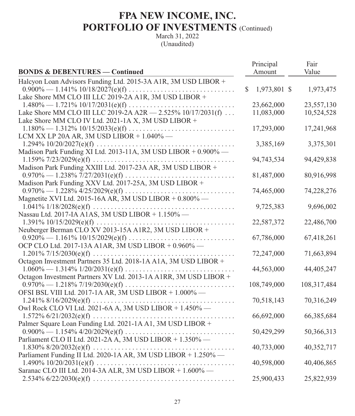|                                                                  |    | Principal    | Fair        |
|------------------------------------------------------------------|----|--------------|-------------|
| <b>BONDS &amp; DEBENTURES - Continued</b>                        |    | Amount       | Value       |
| Halcyon Loan Advisors Funding Ltd. 2015-3A A1R, 3M USD LIBOR +   |    |              |             |
|                                                                  | S. | 1,973,801 \$ | 1,973,475   |
| Lake Shore MM CLO III LLC 2019-2A A1R, 3M USD LIBOR +            |    |              |             |
|                                                                  |    | 23,662,000   | 23,557,130  |
| Lake Shore MM CLO III LLC 2019-2A A2R - 2.525% 10/17/2031(f)     |    | 11,083,000   | 10,524,528  |
| Lake Shore MM CLO IV Ltd. 2021-1A X, 3M USD LIBOR +              |    |              |             |
|                                                                  |    | 17,293,000   | 17,241,968  |
| LCM XX LP 20A AR, 3M USD LIBOR + $1.040\%$ -                     |    |              |             |
|                                                                  |    | 3,385,169    | 3,375,301   |
| Madison Park Funding XI Ltd. 2013-11A, 3M USD LIBOR + 0.900% -   |    |              |             |
|                                                                  |    | 94,743,534   | 94,429,838  |
| Madison Park Funding XXIII Ltd. 2017-23A AR, 3M USD LIBOR +      |    |              |             |
|                                                                  |    | 81,487,000   | 80,916,998  |
| Madison Park Funding XXV Ltd. 2017-25A, 3M USD LIBOR +           |    |              |             |
|                                                                  |    | 74,465,000   | 74,228,276  |
| Magnetite XVI Ltd. 2015-16A AR, 3M USD LIBOR + $0.800\%$ —       |    |              |             |
|                                                                  |    | 9,725,383    | 9,696,002   |
| Nassau Ltd. 2017-IA A1AS, 3M USD LIBOR + 1.150% -                |    |              |             |
| Neuberger Berman CLO XV 2013-15A A1R2, 3M USD LIBOR +            |    | 22,587,372   | 22,486,700  |
|                                                                  |    | 67,786,000   | 67,418,261  |
| OCP CLO Ltd. 2017-13A A1AR, 3M USD LIBOR + 0.960% -              |    |              |             |
|                                                                  |    | 72,247,000   | 71,663,894  |
| Octagon Investment Partners 35 Ltd. 2018-1A A1A, 3M USD LIBOR +  |    |              |             |
|                                                                  |    | 44,563,000   | 44,405,247  |
| Octagon Investment Partners XV Ltd. 2013-1A A1RR, 3M USD LIBOR + |    |              |             |
|                                                                  |    | 108,749,000  | 108,317,484 |
| OFSI BSL VIII Ltd. 2017-1A AR, 3M USD LIBOR + 1.000% -           |    |              |             |
|                                                                  |    | 70,518,143   | 70,316,249  |
| Owl Rock CLO VI Ltd. 2021-6A A, 3M USD LIBOR + 1.450% -          |    |              |             |
|                                                                  |    | 66,692,000   | 66,385,684  |
| Palmer Square Loan Funding Ltd. 2021-1A A1, 3M USD LIBOR +       |    |              |             |
|                                                                  |    | 50,429,299   | 50,366,313  |
| Parliament CLO II Ltd. 2021-2A A, 3M USD LIBOR + 1.350% -        |    |              |             |
|                                                                  |    | 40,733,000   | 40,352,717  |
| Parliament Funding II Ltd. 2020-1A AR, 3M USD LIBOR + 1.250% -   |    |              |             |
|                                                                  |    | 40,598,000   | 40,406,865  |
| Saranac CLO III Ltd. 2014-3A ALR, 3M USD LIBOR + 1.600% -        |    |              |             |
|                                                                  |    | 25,900,433   | 25,822,939  |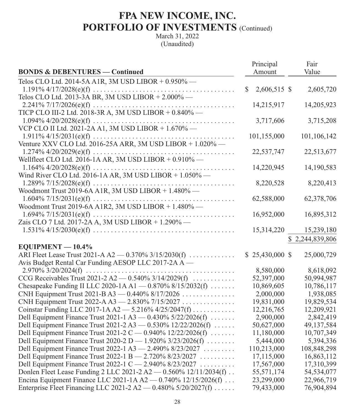|                                                                   | Principal          | Fair            |
|-------------------------------------------------------------------|--------------------|-----------------|
| <b>BONDS &amp; DEBENTURES — Continued</b>                         | Amount             | Value           |
| Telos CLO Ltd. 2014-5A A1R, 3M USD LIBOR + 0.950% -               |                    |                 |
|                                                                   | 2,606,515 \$<br>\$ | 2,605,720       |
| Telos CLO Ltd. 2013-3A BR, 3M USD LIBOR + 2.000% -                |                    |                 |
|                                                                   | 14,215,917         | 14,205,923      |
| TICP CLO III-2 Ltd. 2018-3R A, 3M USD LIBOR + 0.840% -            |                    |                 |
|                                                                   | 3,717,606          | 3,715,208       |
| VCP CLO II Ltd. 2021-2A A1, 3M USD LIBOR + 1.670% -               |                    |                 |
|                                                                   | 101,155,000        | 101,106,142     |
| Venture XXV CLO Ltd. 2016-25A ARR, 3M USD LIBOR + 1.020% -        |                    |                 |
|                                                                   | 22,537,747         | 22,513,677      |
| Wellfleet CLO Ltd. 2016-1A AR, 3M USD LIBOR + 0.910% -            |                    |                 |
|                                                                   | 14,220,945         | 14,190,583      |
| Wind River CLO Ltd. 2016-1A AR, 3M USD LIBOR + 1.050% -           |                    |                 |
|                                                                   | 8,220,528          | 8,220,413       |
| Woodmont Trust 2019-6A A1R, 3M USD LIBOR + 1.480% -               |                    |                 |
|                                                                   | 62,588,000         | 62,378,706      |
| Woodmont Trust 2019-6A A1R2, 3M USD LIBOR + 1.480% -              |                    |                 |
|                                                                   | 16,952,000         | 16,895,312      |
| Zais CLO 7 Ltd. 2017-2A A, 3M USD LIBOR + 1.290% -                |                    |                 |
|                                                                   | 15,314,220         | 15,239,180      |
|                                                                   |                    | \$2,244,839,806 |
| $EQUIPMENT - 10.4%$                                               |                    |                 |
| ARI Fleet Lease Trust 2021-A A2 — 0.370% 3/15/2030(f)             | $$25,430,000$ \$   | 25,000,729      |
| Avis Budget Rental Car Funding AESOP LLC 2017-2A A —              |                    |                 |
|                                                                   | 8,580,000          | 8,618,092       |
| CCG Receivables Trust 2021-2 A2 - 0.540% 3/14/2029(f) $\ldots$    | 52,397,000         | 50,994,987      |
| Chesapeake Funding II LLC 2020-1A A1 - 0.870% 8/15/2032(f)        | 10,869,605         | 10,786,117      |
| CNH Equipment Trust 2021-B A3 - 0.440% 8/17/2026                  | 2,000,000          | 1,938,085       |
| CNH Equipment Trust 2022-A A3 - 2.830% 7/15/2027                  | 19,831,000         | 19,829,534      |
| Coinstar Funding LLC 2017-1A A2 $-$ 5.216% 4/25/2047(f)           | 12,216,765         | 12,209,921      |
| Dell Equipment Finance Trust 2021-1 A3 $-$ 0.430% 5/22/2026(f)    | 2,900,000          | 2,842,419       |
| Dell Equipment Finance Trust 2021-2 A3 $-$ 0.530% 12/22/2026(f)   | 50,627,000         | 49,137,584      |
| Dell Equipment Finance Trust 2021-2 C — 0.940% 12/22/2026(f)      | 11,180,000         | 10,707,349      |
| Dell Equipment Finance Trust 2020-2 D — 1.920% $3/23/2026(f)$     | 5,444,000          | 5,394,336       |
| Dell Equipment Finance Trust 2022-1 A3 - 2.490% 8/23/2027         | 110,213,000        | 108,848,298     |
| Dell Equipment Finance Trust 2022-1 B - 2.720% 8/23/2027          | 17,115,000         | 16,863,112      |
| Dell Equipment Finance Trust 2022-1 C - 2.940% 8/23/2027          | 17,567,000         | 17,310,399      |
| Donlen Fleet Lease Funding 2 LLC 2021-2 A2 - 0.560% 12/11/2034(f) | 55,571,174         | 54,534,077      |
| Encina Equipment Finance LLC 2021-1A A2 - 0.740% 12/15/2026(f)    | 23,299,000         | 22,966,719      |
| Enterprise Fleet Financing LLC 2021-2 A2 - 0.480% 5/20/2027(f)    | 79,433,000         | 76,904,894      |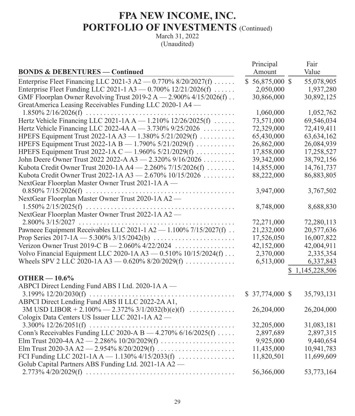| <b>BONDS &amp; DEBENTURES - Continued</b>                           | Principal<br>Amount | Fair<br>Value   |
|---------------------------------------------------------------------|---------------------|-----------------|
| Enterprise Fleet Financing LLC 2021-3 A2 $-$ 0.770% 8/20/2027(f)    | $$56,875,000$ \$    | 55,078,905      |
| Enterprise Fleet Funding LLC 2021-1 A3 - 0.700% 12/21/2026(f)       | 2,050,000           | 1,937,280       |
| GMF Floorplan Owner Revolving Trust 2019-2 A - 2.900% 4/15/2026(f). | 30,866,000          | 30,892,125      |
| GreatAmerica Leasing Receivables Funding LLC 2020-1 A4 -            |                     |                 |
|                                                                     | 1,060,000           | 1,052,762       |
| Hertz Vehicle Financing LLC 2021-1A A - 1.210% 12/26/2025(f)        | 73,571,000          | 69,546,034      |
| Hertz Vehicle Financing LLC 2022-4A A - 3.730% 9/25/2026            | 72,329,000          | 72,419,411      |
| HPEFS Equipment Trust 2022-1A A3 - 1.380% 5/21/2029(f)              | 65,430,000          | 63,634,162      |
| HPEFS Equipment Trust 2022-1A B - 1.790% 5/21/2029(f)               | 26,862,000          | 26,084,939      |
| HPEFS Equipment Trust 2022-1A C - 1.960% 5/21/2029(f)               | 17,858,000          | 17,258,527      |
| John Deere Owner Trust 2022 2022-A A3 - 2.320% 9/16/2026            | 39,342,000          | 38,792,156      |
| Kubota Credit Owner Trust 2020-1A A4 - 2.260% 7/15/2026(f)          | 14,855,000          | 14,761,737      |
| Kubota Credit Owner Trust 2022-1A A3 - 2.670% 10/15/2026            | 88,222,000          | 86,883,805      |
| NextGear Floorplan Master Owner Trust 2021-1A A —                   |                     |                 |
|                                                                     | 3,947,000           | 3,767,502       |
| NextGear Floorplan Master Owner Trust 2020-1A A2 -                  |                     |                 |
|                                                                     | 8,748,000           | 8,688,830       |
| NextGear Floorplan Master Owner Trust 2022-1A A2 -                  |                     |                 |
|                                                                     | 72,271,000          | 72,280,113      |
| Pawneee Equipment Receivables LLC 2021-1 A2 - 1.100% 7/15/2027(f)   | 21,232,000          | 20,577,636      |
|                                                                     | 17,526,050          | 16,007,822      |
| Verizon Owner Trust 2019-C B - 2.060% 4/22/2024                     | 42,152,000          | 42,004,911      |
| Volvo Financial Equipment LLC 2020-1A A3 - 0.510% 10/15/2024(f)     | 2,370,000           | 2,335,354       |
| Wheels SPV 2 LLC 2020-1A A3 - 0.620% 8/20/2029(f)                   | 6,513,000           | 6,337,843       |
|                                                                     |                     | \$1,145,228,506 |
| OTHER $-10.6\%$                                                     |                     |                 |
| ABPCI Direct Lending Fund ABS I Ltd. 2020-1A A -                    |                     |                 |
|                                                                     | $$37,774,000$ \$    | 35,793,131      |
| ABPCI Direct Lending Fund ABS II LLC 2022-2A A1,                    |                     |                 |
| 3M USD LIBOR + 2.100% - 2.372% 3/1/2032(b)(e)(f)                    | 26,204,000          | 26,204,000      |
| Cologix Data Centers US Issuer LLC 2021-1A A2 -                     |                     |                 |
|                                                                     | 32,205,000          | 31,083,181      |
| Conn's Receivables Funding LLC 2020-A B $-$ 4.270% 6/16/2025(f)     | 2,897,689           | 2,897,315       |
| Elm Trust 2020-4A A2 - 2.286% 10/20/2029(f)                         | 9,925,000           | 9,440,654       |
|                                                                     | 11,435,000          | 10,941,783      |
| FCI Funding LLC 2021-1A A $-$ 1.130% 4/15/2033(f)                   | 11,820,501          | 11,699,609      |
| Golub Capital Partners ABS Funding Ltd. 2021-1A A2 —                |                     |                 |
|                                                                     | 56,366,000          | 53,773,164      |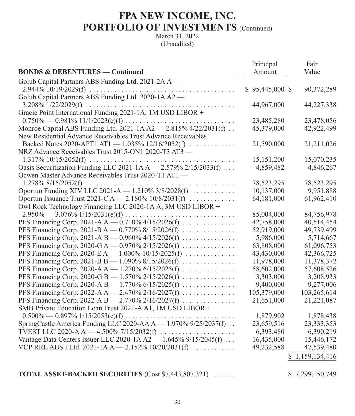|                                                                  | Principal        | Fair            |
|------------------------------------------------------------------|------------------|-----------------|
| <b>BONDS &amp; DEBENTURES — Continued</b>                        | Amount           | Value           |
| Golub Capital Partners ABS Funding Ltd. 2021-2A A -              |                  |                 |
|                                                                  | $$95,445,000$ \$ | 90,372,289      |
| Golub Capital Partners ABS Funding Ltd. 2020-1A A2 -             |                  |                 |
|                                                                  | 44,967,000       | 44,227,338      |
|                                                                  |                  |                 |
|                                                                  | 23,485,280       | 23,478,056      |
| Monroe Capital ABS Funding Ltd. 2021-1A A2 - 2.815% 4/22/2031(f) | 45,379,000       | 42,922,499      |
| New Residential Advance Receivables Trust Advance Receivables    |                  |                 |
| Backed Notes 2020-APT1 AT1 - 1.035% 12/16/2052(f)                | 21,590,000       | 21,211,026      |
| NRZ Advance Receivables Trust 2015-ON1 2020-T3 AT3 -             |                  |                 |
|                                                                  | 15,151,200       | 15,070,235      |
| Oasis Securitization Funding LLC 2021-1A A - 2.579% 2/15/2033(f) | 4,859,482        | 4,846,267       |
| Ocwen Master Advance Receivables Trust 2020-T1 AT1 -             |                  |                 |
|                                                                  | 78,523,295       | 78,523,295      |
| Oportun Funding XIV LLC 2021-A - 1.210% 3/8/2028(f)              | 10,137,000       | 9,951,888       |
| Oportun Issuance Trust 2021-C A - 2.180% 10/8/2031(f)            | 64,181,000       | 61,962,410      |
| Owl Rock Technology Financing LLC 2020-1A A, 3M USD LIBOR +      |                  |                 |
|                                                                  | 85,004,000       | 84,756,978      |
| PFS Financing Corp. 2021-A A $-$ 0.710% 4/15/2026(f)             | 42,758,000       | 40,514,454      |
| PFS Financing Corp. 2021-B A - 0.770% 8/15/2026(f)               | 52,919,000       | 49,739,499      |
| PFS Financing Corp. 2021-A B — 0.960% 4/15/2026(f)               | 5,986,000        | 5,714,667       |
| PFS Financing Corp. 2020-G A - 0.970% 2/15/2026(f)               | 63,808,000       | 61,096,753      |
| PFS Financing Corp. 2020-E A $- 1.000\%$ 10/15/2025(f)           | 43,430,000       | 42,366,725      |
| PFS Financing Corp. 2021-B B — 1.090% $8/15/2026(f)$             | 11,978,000       | 11,378,372      |
| PFS Financing Corp. 2020-A A $-$ 1.270% 6/15/2025(f)             | 58,602,000       | 57,608,526      |
| PFS Financing Corp. 2020-G B - 1.570% 2/15/2026(f)               | 3,303,000        | 3,208,933       |
| PFS Financing Corp. 2020-A B - 1.770% 6/15/2025(f)               | 9,400,000        | 9,277,006       |
| PFS Financing Corp. 2022-A A - 2.470% 2/16/2027(f)               | 105,379,000      | 103,265,614     |
| PFS Financing Corp. 2022-A B - 2.770% 2/16/2027(f)               | 21,651,000       | 21,221,087      |
| SMB Private Education Loan Trust 2021-A A1, 1M USD LIBOR +       |                  |                 |
|                                                                  | 1,879,902        | 1,878,438       |
| SpringCastle America Funding LLC 2020-AA A - 1.970% 9/25/2037(f) | 23,659,516       | 23, 333, 353    |
|                                                                  | 6,393,480        | 6,390,219       |
| Vantage Data Centers Issuer LLC 2020-1A A2 - 1.645% 9/15/2045(f) | 16,435,000       | 15,446,172      |
| VCP RRL ABS I Ltd. 2021-1A A - 2.152% $10/20/2031(f)$            | 49,232,588       | 47,539,480      |
|                                                                  |                  | \$1,159,134,416 |
|                                                                  |                  |                 |
| TOTAL ASSET-BACKED SECURITIES (Cost \$7,443,807,321)             |                  | \$7,299,150,749 |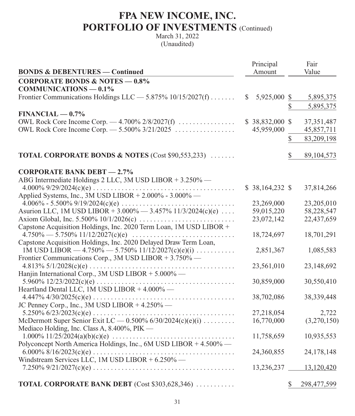|                                                                    |    | Principal        |    | Fair         |
|--------------------------------------------------------------------|----|------------------|----|--------------|
| <b>BONDS &amp; DEBENTURES — Continued</b>                          |    | Amount           |    | Value        |
| <b>CORPORATE BONDS &amp; NOTES - 0.8%</b>                          |    |                  |    |              |
| $COMMUNICATIONS - 0.1%$                                            |    |                  |    |              |
| Frontier Communications Holdings LLC — 5.875% 10/15/2027(f)        | S. | 5,925,000 \$     |    | 5,895,375    |
|                                                                    |    |                  | \$ | 5,895,375    |
| $FINANCIAL - 0.7%$                                                 |    |                  |    |              |
| OWL Rock Core Income Corp. $-4.700\%$ 2/8/2027(f)                  |    | $$38,832,000$ \$ |    | 37, 351, 487 |
| OWL Rock Core Income Corp. — 5.500% 3/21/2025                      |    | 45,959,000       |    | 45,857,711   |
|                                                                    |    |                  | \$ | 83,209,198   |
| <b>TOTAL CORPORATE BONDS &amp; NOTES</b> (Cost \$90,553,233)       |    |                  | \$ | 89,104,573   |
| <b>CORPORATE BANK DEBT - 2.7%</b>                                  |    |                  |    |              |
| ABG Intermediate Holdings 2 LLC, 3M USD LIBOR + 3.250% —           |    |                  |    |              |
|                                                                    |    | $$38,164,232$ \$ |    | 37,814,266   |
| Applied Systems, Inc., 3M USD LIBOR + 2.000% - 3.000% —            |    |                  |    |              |
|                                                                    |    | 23,269,000       |    | 23,205,010   |
| Asurion LLC, 1M USD LIBOR + 3.000% - 3.457% 11/3/2024(c)(e)        |    | 59,015,220       |    | 58,228,547   |
|                                                                    |    | 23,072,142       |    | 22,437,659   |
| Capstone Acquisition Holdings, Inc. 2020 Term Loan, 1M USD LIBOR + |    |                  |    |              |
|                                                                    |    | 18,724,697       |    | 18,701,291   |
| Capstone Acquisition Holdings, Inc. 2020 Delayed Draw Term Loan,   |    |                  |    |              |
| 1M USD LIBOR — $4.750\%$ — 5.750% 11/12/2027(c)(e)(i)              |    | 2,851,367        |    | 1,085,583    |
| Frontier Communications Corp., 3M USD LIBOR + 3.750% -             |    | 23,561,010       |    | 23,148,692   |
| Hanjin International Corp., 3M USD LIBOR + 5.000% —                |    |                  |    |              |
|                                                                    |    | 30,859,000       |    | 30,550,410   |
| Heartland Dental LLC, 1M USD LIBOR + 4.000% -                      |    |                  |    |              |
|                                                                    |    | 38,702,086       |    | 38,339,448   |
| JC Penney Corp., Inc., 3M USD LIBOR $+4.250\%$ —                   |    |                  |    |              |
|                                                                    |    | 27,218,054       |    | 2,722        |
| McDermott Super Senior Exit LC - 0.500% 6/30/2024(c)(e)(i)         |    | 16,770,000       |    | (3,270,150)  |
| Mediaco Holding, Inc. Class A, 8.400%, PIK —                       |    |                  |    |              |
|                                                                    |    | 11,758,659       |    | 10,935,553   |
| Polyconcept North America Holdings, Inc., 6M USD LIBOR + 4.500% —  |    |                  |    |              |
|                                                                    |    | 24,360,855       |    | 24,178,148   |
| Windstream Services LLC, 1M USD LIBOR + 6.250% -                   |    |                  |    |              |
|                                                                    |    | 13,236,237       |    | 13,120,420   |
| <b>TOTAL CORPORATE BANK DEBT</b> (Cost \$303,628,346)              |    |                  | S  | 298,477,599  |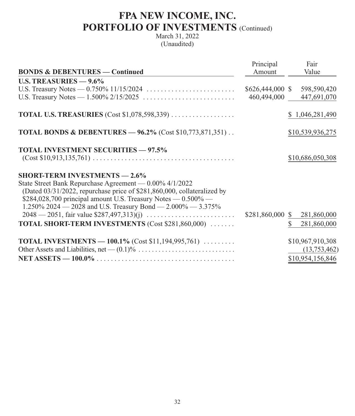|                                                                         | Principal        | Fair                          |
|-------------------------------------------------------------------------|------------------|-------------------------------|
| <b>BONDS &amp; DEBENTURES — Continued</b>                               | Amount           | Value                         |
| U.S. TREASURIES $-9.6\%$                                                |                  |                               |
|                                                                         | \$626,444,000 \$ | 598,590,420                   |
|                                                                         | 460,494,000      | 447,691,070                   |
| <b>TOTAL U.S. TREASURIES</b> (Cost \$1,078,598,339)                     |                  | \$1,046,281,490               |
| <b>TOTAL BONDS &amp; DEBENTURES - 96.2% (Cost \$10,773,871,351)</b>     |                  | \$10,539,936,275              |
| <b>TOTAL INVESTMENT SECURITIES - 97.5%</b>                              |                  |                               |
|                                                                         |                  | \$10,686,050,308              |
| <b>SHORT-TERM INVESTMENTS - 2.6%</b>                                    |                  |                               |
| State Street Bank Repurchase Agreement — 0.00% 4/1/2022                 |                  |                               |
| (Dated 03/31/2022, repurchase price of \$281,860,000, collateralized by |                  |                               |
| \$284,028,700 principal amount U.S. Treasury Notes $-$ 0.500% $-$       |                  |                               |
| 1.250% 2024 – 2028 and U.S. Treasury Bond – 2.000% – 3.375%             |                  |                               |
|                                                                         | \$281,860,000 \$ | 281,860,000                   |
| <b>TOTAL SHORT-TERM INVESTMENTS (Cost \$281,860,000) </b>               |                  | $\mathbb{S}^-$<br>281,860,000 |
| <b>TOTAL INVESTMENTS</b> - 100.1% (Cost \$11,194,995,761) $\ldots$      |                  | \$10,967,910,308              |
|                                                                         |                  | (13,753,462)                  |
|                                                                         |                  | \$10,954,156,846              |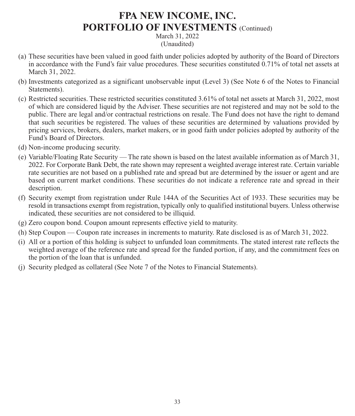- (a) These securities have been valued in good faith under policies adopted by authority of the Board of Directors in accordance with the Fund's fair value procedures. These securities constituted 0.71% of total net assets at March 31, 2022.
- (b) Investments categorized as a significant unobservable input (Level 3) (See Note 6 of the Notes to Financial Statements).
- (c) Restricted securities. These restricted securities constituted 3.61% of total net assets at March 31, 2022, most of which are considered liquid by the Adviser. These securities are not registered and may not be sold to the public. There are legal and/or contractual restrictions on resale. The Fund does not have the right to demand that such securities be registered. The values of these securities are determined by valuations provided by pricing services, brokers, dealers, market makers, or in good faith under policies adopted by authority of the Fund's Board of Directors.
- (d) Non-income producing security.
- (e) Variable/Floating Rate Security The rate shown is based on the latest available information as of March 31, 2022. For Corporate Bank Debt, the rate shown may represent a weighted average interest rate. Certain variable rate securities are not based on a published rate and spread but are determined by the issuer or agent and are based on current market conditions. These securities do not indicate a reference rate and spread in their description.
- (f) Security exempt from registration under Rule 144A of the Securities Act of 1933. These securities may be resold in transactions exempt from registration, typically only to qualified institutional buyers. Unless otherwise indicated, these securities are not considered to be illiquid.
- (g) Zero coupon bond. Coupon amount represents effective yield to maturity.
- (h) Step Coupon Coupon rate increases in increments to maturity. Rate disclosed is as of March 31, 2022.
- (i) All or a portion of this holding is subject to unfunded loan commitments. The stated interest rate reflects the weighted average of the reference rate and spread for the funded portion, if any, and the commitment fees on the portion of the loan that is unfunded.
- (j) Security pledged as collateral (See Note 7 of the Notes to Financial Statements).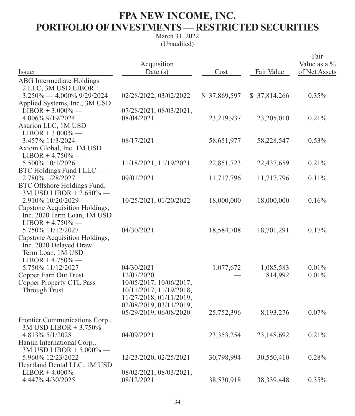## **FPA NEW INCOME, INC. PORTFOLIO OF INVESTMENTS — RESTRICTED SECURITIES**

| Issuer                                                                                                                    | Acquisition<br>Date $(s)$                                                                                                            | Cost         | Fair Value           | Fair<br>Value as a %<br>of Net Assets |
|---------------------------------------------------------------------------------------------------------------------------|--------------------------------------------------------------------------------------------------------------------------------------|--------------|----------------------|---------------------------------------|
| <b>ABG</b> Intermediate Holdings<br>2 LLC, 3M USD LIBOR +                                                                 |                                                                                                                                      |              |                      |                                       |
| $3.250\% - 4.000\%$ 9/29/2024<br>Applied Systems, Inc., 3M USD                                                            | 02/28/2022, 03/02/2022                                                                                                               | \$37,869,597 | \$37,814,266         | 0.35%                                 |
| $LIBOR + 3.000\%$ —<br>4.006% 9/19/2024<br>Asurion LLC, 1M USD                                                            | 07/28/2021, 08/03/2021,<br>08/04/2021                                                                                                | 23,219,937   | 23,205,010           | 0.21%                                 |
| $LIBOR + 3.000\%$ —<br>3.457% 11/3/2024<br>Axiom Global, Inc. 1M USD<br>$LIBOR + 4.750\%$ —                               | 08/17/2021                                                                                                                           | 58,651,977   | 58,228,547           | 0.53%                                 |
| 5.500% 10/1/2026                                                                                                          | 11/18/2021, 11/19/2021                                                                                                               | 22,851,723   | 22,437,659           | 0.21%                                 |
| BTC Holdings Fund I LLC -<br>2.780% 1/28/2027<br>BTC Offshore Holdings Fund,<br>3M USD LIBOR + 2.650% -                   | 09/01/2021                                                                                                                           | 11,717,796   | 11,717,796           | 0.11%                                 |
| 2.910% 10/20/2029<br>Capstone Acquisition Holdings,<br>Inc. 2020 Term Loan, 1M USD<br>$LIBOR + 4.750\%$ —                 | 10/25/2021, 01/20/2022                                                                                                               | 18,000,000   | 18,000,000           | 0.16%                                 |
| 5.750% 11/12/2027<br>Capstone Acquisition Holdings,<br>Inc. 2020 Delayed Draw<br>Term Loan, 1M USD<br>$LIBOR + 4.750\%$ — | 04/30/2021                                                                                                                           | 18,584,708   | 18,701,291           | 0.17%                                 |
| 5.750% 11/12/2027<br>Copper Earn Out Trust<br><b>Copper Property CTL Pass</b><br>Through Trust                            | 04/30/2021<br>12/07/2020<br>10/05/2017, 10/06/2017,<br>10/11/2017, 11/19/2018,<br>11/27/2018, 01/11/2019,<br>02/08/2019, 03/11/2019, | 1,077,672    | 1,085,583<br>814,992 | 0.01%<br>0.01%                        |
| Frontier Communications Corp.,                                                                                            | 05/29/2019, 06/08/2020                                                                                                               | 25,752,396   | 8,193,276            | 0.07%                                 |
| 3M USD LIBOR + 3.750% -<br>4.813% 5/1/2028<br>Hanjin International Corp.,<br>3M USD LIBOR + 5.000% -                      | 04/09/2021                                                                                                                           | 23,353,254   | 23,148,692           | 0.21%                                 |
| 5.960% 12/23/2022<br>Heartland Dental LLC, 1M USD                                                                         | 12/23/2020, 02/25/2021                                                                                                               | 30,798,994   | 30,550,410           | 0.28%                                 |
| $LIBOR + 4.000\%$ —<br>4.447% 4/30/2025                                                                                   | 08/02/2021, 08/03/2021,<br>08/12/2021                                                                                                | 38,530,918   | 38,339,448           | 0.35%                                 |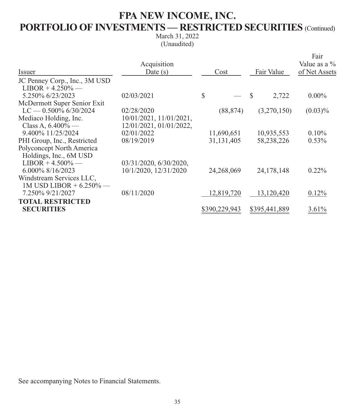## **FPA NEW INCOME, INC. PORTFOLIO OF INVESTMENTS — RESTRICTED SECURITIES** (Continued)

March 31, 2022 (Unaudited)

|                               |                               |               |               | Fair<br>Value as a $\%$ |
|-------------------------------|-------------------------------|---------------|---------------|-------------------------|
| Issuer                        | Acquisition<br>Date $(s)$     | Cost          | Fair Value    | of Net Assets           |
|                               |                               |               |               |                         |
| JC Penney Corp., Inc., 3M USD |                               |               |               |                         |
| $LIBOR + 4.250\%$ —           |                               |               |               |                         |
| 5.250% 6/23/2023              | 02/03/2021                    | \$            | -S<br>2,722   | $0.00\%$                |
| McDermott Super Senior Exit   |                               |               |               |                         |
| $LC = 0.500\%$ 6/30/2024      | 02/28/2020                    | (88, 874)     | (3,270,150)   | $(0.03)\%$              |
| Mediaco Holding, Inc.         | $10/01/2021$ , $11/01/2021$ , |               |               |                         |
| Class A, $6.400\%$ —          | 12/01/2021, 01/01/2022,       |               |               |                         |
| 9.400% 11/25/2024             | 02/01/2022                    | 11,690,651    | 10,935,553    | $0.10\%$                |
| PHI Group, Inc., Restricted   | 08/19/2019                    | 31, 131, 405  | 58,238,226    | $0.53\%$                |
| Polyconcept North America     |                               |               |               |                         |
| Holdings, Inc., 6M USD        |                               |               |               |                         |
| $LIBOR + 4.500\%$ —           | 03/31/2020, 6/30/2020,        |               |               |                         |
| $6.000\%$ 8/16/2023           | 10/1/2020, 12/31/2020         | 24,268,069    | 24, 178, 148  | $0.22\%$                |
| Windstream Services LLC,      |                               |               |               |                         |
| 1M USD LIBOR + $6.250\%$ -    |                               |               |               |                         |
| 7.250% 9/21/2027              | 08/11/2020                    | 12,819,720    | 13,120,420    | 0.12%                   |
| <b>TOTAL RESTRICTED</b>       |                               |               |               |                         |
| <b>SECURITIES</b>             |                               | \$390,229,943 | \$395,441,889 | 3.61%                   |
|                               |                               |               |               |                         |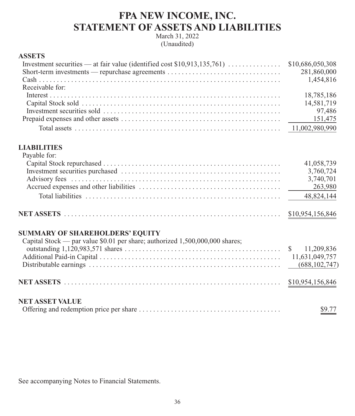### **FPA NEW INCOME, INC. STATEMENT OF ASSETS AND LIABILITIES**

March 31, 2022 (Unaudited)

#### **ASSETS**

| Short-term investments — repurchase agreements | 281,860,000 |
|------------------------------------------------|-------------|
|                                                |             |
| Receivable for:                                |             |
|                                                | 18,785,186  |
|                                                | 14,581,719  |
|                                                | 97,486      |
|                                                |             |
|                                                |             |

#### **LIABILITIES**  $D_{\text{ex}}$ able for:

| Payable for: |            |
|--------------|------------|
|              | 41,058,739 |
|              | 3,760,724  |
|              | 3,740,701  |
|              |            |
|              |            |
|              |            |

### **SUMMARY OF SHAREHOLDERS' EQUITY**

| Capital Stock — par value $$0.01$ per share; authorized 1,500,000,000 shares; |        |
|-------------------------------------------------------------------------------|--------|
|                                                                               |        |
|                                                                               |        |
|                                                                               |        |
|                                                                               |        |
| <b>NET ASSET VALUE</b>                                                        |        |
|                                                                               | \$9.77 |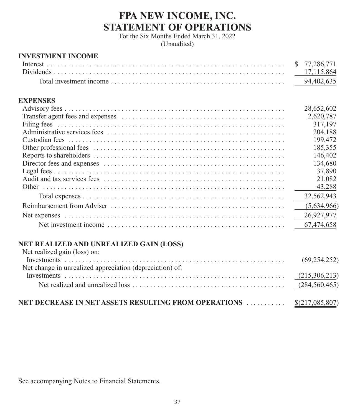## **FPA NEW INCOME, INC. STATEMENT OF OPERATIONS**

For the Six Months Ended March 31, 2022 (Unaudited)

### **INVESTMENT INCOME**

|  | 94.402.635 |
|--|------------|

### **EXPENSES**

| 28,652,602  |
|-------------|
| 2,620,787   |
| 317,197     |
| 204,188     |
| 199,472     |
| 185,355     |
| 146,402     |
| 134,680     |
| 37,890      |
| 21,082      |
| 43.288      |
| 32,562,943  |
| (5,634,966) |
| 26,927,977  |
| 67,474,658  |

### **NET REALIZED AND UNREALIZED GAIN (LOSS)**

| Net realized gain (loss) on:                                          |  |
|-----------------------------------------------------------------------|--|
|                                                                       |  |
| Net change in unrealized appreciation (depreciation) of:              |  |
|                                                                       |  |
|                                                                       |  |
| NET DECREASE IN NET ASSETS RESULTING FROM OPERATIONS  \$(217,085,807) |  |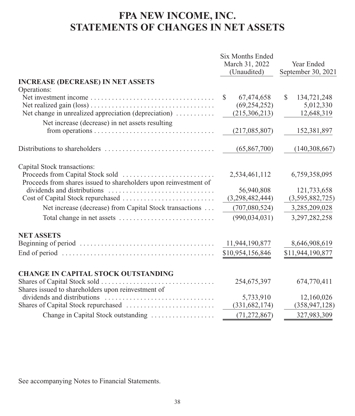## **FPA NEW INCOME, INC. STATEMENTS OF CHANGES IN NET ASSETS**

|                                                                                                     | <b>Six Months Ended</b><br>March 31, 2022<br>(Unaudited) | Year Ended<br>September 30, 2021 |
|-----------------------------------------------------------------------------------------------------|----------------------------------------------------------|----------------------------------|
| <b>INCREASE (DECREASE) IN NET ASSETS</b>                                                            |                                                          |                                  |
| Operations:                                                                                         |                                                          |                                  |
|                                                                                                     | 67,474,658<br><sup>\$</sup>                              | \$.<br>134,721,248               |
|                                                                                                     | (69, 254, 252)                                           | 5,012,330                        |
| Net change in unrealized appreciation (depreciation)                                                | (215, 306, 213)                                          | 12,648,319                       |
| Net increase (decrease) in net assets resulting                                                     |                                                          |                                  |
|                                                                                                     | (217,085,807)                                            | 152,381,897                      |
|                                                                                                     | (65, 867, 700)                                           | (140, 308, 667)                  |
| Capital Stock transactions:                                                                         |                                                          |                                  |
| Proceeds from shares issued to shareholders upon reinvestment of                                    | 2,534,461,112                                            | 6,759,358,095                    |
|                                                                                                     | 56,940,808                                               | 121,733,658                      |
|                                                                                                     | (3,298,482,444)                                          | (3,595,882,725)                  |
| Net increase (decrease) from Capital Stock transactions                                             | (707,080,524)                                            | 3,285,209,028                    |
| Total change in net assets                                                                          | (990, 034, 031)                                          | 3,297,282,258                    |
| <b>NET ASSETS</b>                                                                                   |                                                          |                                  |
|                                                                                                     | 11,944,190,877                                           | 8,646,908,619                    |
| End of period $\ldots \ldots \ldots \ldots \ldots \ldots \ldots \ldots \ldots \ldots \ldots \ldots$ | \$10,954,156,846                                         | \$11,944,190,877                 |
| <b>CHANGE IN CAPITAL STOCK OUTSTANDING</b>                                                          |                                                          |                                  |
|                                                                                                     | 254,675,397                                              | 674,770,411                      |
| Shares issued to shareholders upon reinvestment of                                                  |                                                          |                                  |
|                                                                                                     | 5,733,910                                                | 12,160,026                       |
|                                                                                                     | (331, 682, 174)                                          | (358, 947, 128)                  |
| Change in Capital Stock outstanding                                                                 | (71, 272, 867)                                           | 327,983,309                      |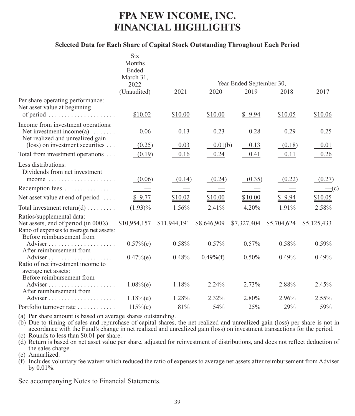## **FPA NEW INCOME, INC. FINANCIAL HIGHLIGHTS**

#### **Selected Data for Each Share of Capital Stock Outstanding Throughout Each Period**

|                                                                                                                                                           | <b>Six</b>               |                          |                          |                          |             |              |
|-----------------------------------------------------------------------------------------------------------------------------------------------------------|--------------------------|--------------------------|--------------------------|--------------------------|-------------|--------------|
|                                                                                                                                                           | Months                   |                          |                          |                          |             |              |
|                                                                                                                                                           | Ended                    |                          |                          |                          |             |              |
|                                                                                                                                                           | March 31,                |                          |                          |                          |             |              |
|                                                                                                                                                           | 2022                     |                          |                          | Year Ended September 30, |             |              |
|                                                                                                                                                           | (Unaudited)              | 2021                     | 2020                     | 2019                     | 2018        | 2017         |
| Per share operating performance:<br>Net asset value at beginning<br>of period                                                                             | \$10.02                  | \$10.00                  | \$10.00                  | \$9.94                   | \$10.05     | \$10.06      |
|                                                                                                                                                           |                          |                          |                          |                          |             |              |
| Income from investment operations:<br>Net investment income $(a)$<br>Net realized and unrealized gain                                                     | 0.06                     | 0.13                     | 0.23                     | 0.28                     | 0.29        | 0.25         |
| $(\text{loss})$ on investment securities                                                                                                                  | (0.25)                   | 0.03                     | 0.01(b)                  | 0.13                     | (0.18)      | 0.01         |
| Total from investment operations                                                                                                                          | (0.19)                   | 0.16                     | 0.24                     | 0.41                     | 0.11        | 0.26         |
| Less distributions:<br>Dividends from net investment<br>income $\ldots \ldots \ldots \ldots \ldots \ldots$                                                | (0.06)                   | (0.14)                   | (0.24)                   | (0.35)                   | (0.22)      | (0.27)       |
| Redemption fees                                                                                                                                           | $\overline{\phantom{a}}$ | $\overline{\phantom{a}}$ | $\overline{\phantom{a}}$ | $\overline{\phantom{a}}$ |             | $\equiv$ (c) |
|                                                                                                                                                           |                          |                          |                          |                          |             |              |
| Net asset value at end of period                                                                                                                          | \$9.77                   | \$10.02                  | \$10.00                  | \$10.00                  | \$9.94      | \$10.05      |
| Total investment return(d)                                                                                                                                | $(1.93)\%$               | 1.56%                    | 2.41%                    | 4.20%                    | 1.91%       | 2.58%        |
| Ratios/supplemental data:<br>Net assets, end of period (in 000's) . \$10,954,157<br>Ratio of expenses to average net assets:<br>Before reimbursement from |                          | \$11,944,191             | \$8,646,909              | \$7,327,404              | \$5,704,624 | \$5,125,433  |
| After reimbursement from                                                                                                                                  | $0.57%$ (e)              | $0.58\%$                 | $0.57\%$                 | $0.57\%$                 | 0.58%       | $0.59\%$     |
| Ratio of net investment income to<br>average net assets:<br>Before reimbursement from                                                                     | 0.47%(e)                 | 0.48%                    | $0.49\%$ (f)             | $0.50\%$                 | 0.49%       | 0.49%        |
| After reimbursement from                                                                                                                                  | $1.08\%$ (e)             | 1.18%                    | 2.24%                    | 2.73%                    | 2.88%       | 2.45%        |
|                                                                                                                                                           | $1.18%$ (e)              | 1.28%                    | 2.32%                    | 2.80%                    | 2.96%       | 2.55%        |
| Portfolio turnover rate                                                                                                                                   | $115%$ (e)               | 81%                      | 54%                      | 25%                      | 29%         | 59%          |

(a) Per share amount is based on average shares outstanding.

(b) Due to timing of sales and repurchase of capital shares, the net realized and unrealized gain (loss) per share is not in accordance with the Fund's change in net realized and unrealized gain (loss) on investment transactions for the period. (c) Rounds to less than \$0.01 per share.

(d) Return is based on net asset value per share, adjusted for reinvestment of distributions, and does not reflect deduction of the sales charge.

(e) Annualized.

(f) Includes voluntary fee waiver which reduced the ratio of expenses to average net assets after reimbursement from Adviser by 0.01%.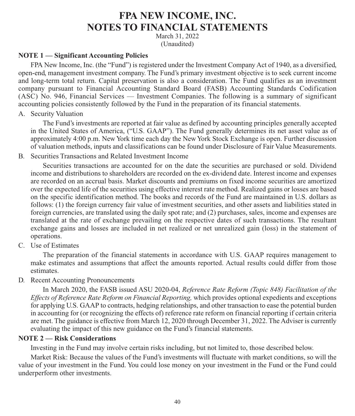### **FPA NEW INCOME, INC. NOTES TO FINANCIAL STATEMENTS**

March 31, 2022 (Unaudited)

#### **NOTE 1 — Significant Accounting Policies**

FPA New Income, Inc. (the "Fund") is registered under the Investment Company Act of 1940, as a diversified, open-end, management investment company. The Fund's primary investment objective is to seek current income and long-term total return. Capital preservation is also a consideration. The Fund qualifies as an investment company pursuant to Financial Accounting Standard Board (FASB) Accounting Standards Codification (ASC) No. 946, Financial Services — Investment Companies. The following is a summary of significant accounting policies consistently followed by the Fund in the preparation of its financial statements.

A. Security Valuation

The Fund's investments are reported at fair value as defined by accounting principles generally accepted in the United States of America, ("U.S. GAAP"). The Fund generally determines its net asset value as of approximately 4:00 p.m. New York time each day the New York Stock Exchange is open. Further discussion of valuation methods, inputs and classifications can be found under Disclosure of Fair Value Measurements.

### B. Securities Transactions and Related Investment Income

Securities transactions are accounted for on the date the securities are purchased or sold. Dividend income and distributions to shareholders are recorded on the ex-dividend date. Interest income and expenses are recorded on an accrual basis. Market discounts and premiums on fixed income securities are amortized over the expected life of the securities using effective interest rate method. Realized gains or losses are based on the specific identification method. The books and records of the Fund are maintained in U.S. dollars as follows: (1) the foreign currency fair value of investment securities, and other assets and liabilities stated in foreign currencies, are translated using the daily spot rate; and (2) purchases, sales, income and expenses are translated at the rate of exchange prevailing on the respective dates of such transactions. The resultant exchange gains and losses are included in net realized or net unrealized gain (loss) in the statement of operations.

C. Use of Estimates

The preparation of the financial statements in accordance with U.S. GAAP requires management to make estimates and assumptions that affect the amounts reported. Actual results could differ from those estimates.

D. Recent Accounting Pronouncements

In March 2020, the FASB issued ASU 2020-04, *Reference Rate Reform (Topic 848) Facilitation of the Effects of Reference Rate Reform on Financial Reporting,* which provides optional expedients and exceptions for applying U.S. GAAP to contracts, hedging relationships, and other transaction to ease the potential burden in accounting for (or recognizing the effects of) reference rate reform on financial reporting if certain criteria are met. The guidance is effective from March 12, 2020 through December 31, 2022. The Adviser is currently evaluating the impact of this new guidance on the Fund's financial statements.

### **NOTE 2 — Risk Considerations**

Investing in the Fund may involve certain risks including, but not limited to, those described below.

Market Risk: Because the values of the Fund's investments will fluctuate with market conditions, so will the value of your investment in the Fund. You could lose money on your investment in the Fund or the Fund could underperform other investments.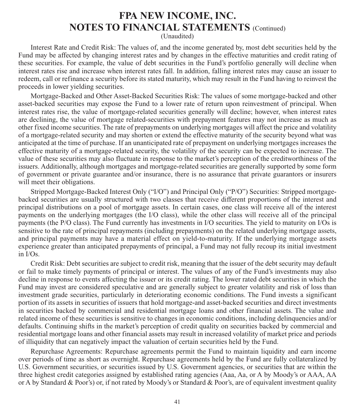(Unaudited)

Interest Rate and Credit Risk: The values of, and the income generated by, most debt securities held by the Fund may be affected by changing interest rates and by changes in the effective maturities and credit rating of these securities. For example, the value of debt securities in the Fund's portfolio generally will decline when interest rates rise and increase when interest rates fall. In addition, falling interest rates may cause an issuer to redeem, call or refinance a security before its stated maturity, which may result in the Fund having to reinvest the proceeds in lower yielding securities.

Mortgage-Backed and Other Asset-Backed Securities Risk: The values of some mortgage-backed and other asset-backed securities may expose the Fund to a lower rate of return upon reinvestment of principal. When interest rates rise, the value of mortgage-related securities generally will decline; however, when interest rates are declining, the value of mortgage related-securities with prepayment features may not increase as much as other fixed income securities. The rate of prepayments on underlying mortgages will affect the price and volatility of a mortgage-related security and may shorten or extend the effective maturity of the security beyond what was anticipated at the time of purchase. If an unanticipated rate of prepayment on underlying mortgages increases the effective maturity of a mortgage-related security, the volatility of the security can be expected to increase. The value of these securities may also fluctuate in response to the market's perception of the creditworthiness of the issuers. Additionally, although mortgages and mortgage-related securities are generally supported by some form of government or private guarantee and/or insurance, there is no assurance that private guarantors or insurers will meet their obligations.

Stripped Mortgage-Backed Interest Only ("I/O") and Principal Only ("P/O") Securities: Stripped mortgagebacked securities are usually structured with two classes that receive different proportions of the interest and principal distributions on a pool of mortgage assets. In certain cases, one class will receive all of the interest payments on the underlying mortgages (the I/O class), while the other class will receive all of the principal payments (the P/O class). The Fund currently has investments in I/O securities. The yield to maturity on I/Os is sensitive to the rate of principal repayments (including prepayments) on the related underlying mortgage assets, and principal payments may have a material effect on yield-to-maturity. If the underlying mortgage assets experience greater than anticipated prepayments of principal, a Fund may not fully recoup its initial investment in I/Os.

Credit Risk: Debt securities are subject to credit risk, meaning that the issuer of the debt security may default or fail to make timely payments of principal or interest. The values of any of the Fund's investments may also decline in response to events affecting the issuer or its credit rating. The lower rated debt securities in which the Fund may invest are considered speculative and are generally subject to greater volatility and risk of loss than investment grade securities, particularly in deteriorating economic conditions. The Fund invests a significant portion of its assets in securities of issuers that hold mortgage-and asset-backed securities and direct investments in securities backed by commercial and residential mortgage loans and other financial assets. The value and related income of these securities is sensitive to changes in economic conditions, including delinquencies and/or defaults. Continuing shifts in the market's perception of credit quality on securities backed by commercial and residential mortgage loans and other financial assets may result in increased volatility of market price and periods of illiquidity that can negatively impact the valuation of certain securities held by the Fund.

Repurchase Agreements: Repurchase agreements permit the Fund to maintain liquidity and earn income over periods of time as short as overnight. Repurchase agreements held by the Fund are fully collateralized by U.S. Government securities, or securities issued by U.S. Government agencies, or securities that are within the three highest credit categories assigned by established rating agencies (Aaa, Aa, or A by Moody's or AAA, AA or A by Standard & Poor's) or, if not rated by Moody's or Standard & Poor's, are of equivalent investment quality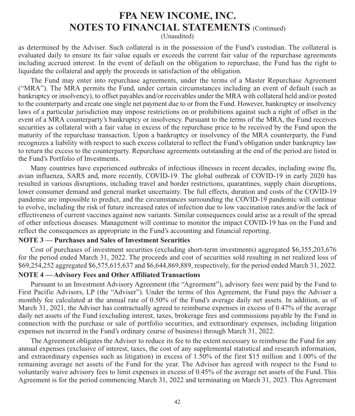(Unaudited)

as determined by the Adviser. Such collateral is in the possession of the Fund's custodian. The collateral is evaluated daily to ensure its fair value equals or exceeds the current fair value of the repurchase agreements including accrued interest. In the event of default on the obligation to repurchase, the Fund has the right to liquidate the collateral and apply the proceeds in satisfaction of the obligation.

The Fund may enter into repurchase agreements, under the terms of a Master Repurchase Agreement ("MRA"). The MRA permits the Fund, under certain circumstances including an event of default (such as bankruptcy or insolvency), to offset payables and/or receivables under the MRA with collateral held and/or posted to the counterparty and create one single net payment due to or from the Fund. However, bankruptcy or insolvency laws of a particular jurisdiction may impose restrictions on or prohibitions against such a right of offset in the event of a MRA counterparty's bankruptcy or insolvency. Pursuant to the terms of the MRA, the Fund receives securities as collateral with a fair value in excess of the repurchase price to be received by the Fund upon the maturity of the repurchase transaction. Upon a bankruptcy or insolvency of the MRA counterparty, the Fund recognizes a liability with respect to such excess collateral to reflect the Fund's obligation under bankruptcy law to return the excess to the counterparty. Repurchase agreements outstanding at the end of the period are listed in the Fund's Portfolio of Investments.

Many countries have experienced outbreaks of infectious illnesses in recent decades, including swine flu, avian influenza, SARS and, more recently, COVID-19. The global outbreak of COVID-19 in early 2020 has resulted in various disruptions, including travel and border restrictions, quarantines, supply chain disruptions, lower consumer demand and general market uncertainty. The full effects, duration and costs of the COVID-19 pandemic are impossible to predict, and the circumstances surrounding the COVID-19 pandemic will continue to evolve, including the risk of future increased rates of infection due to low vaccination rates and/or the lack of effectiveness of current vaccines against new variants. Similar consequences could arise as a result of the spread of other infectious diseases. Management will continue to monitor the impact COVID-19 has on the Fund and reflect the consequences as appropriate in the Fund's accounting and financial reporting.

#### **NOTE 3 — Purchases and Sales of Investment Securities**

Cost of purchases of investment securities (excluding short-term investments) aggregated \$6,355,203,676 for the period ended March 31, 2022. The proceeds and cost of securities sold resulting in net realized loss of \$69,254,252 aggregated \$6,575,615,637 and \$6,644,869,889, respectively, for the period ended March 31, 2022.

#### **NOTE 4 — Advisory Fees and Other Affiliated Transactions**

Pursuant to an Investment Advisory Agreement (the "Agreement"), advisory fees were paid by the Fund to First Pacific Advisors, LP (the "Adviser"). Under the terms of this Agreement, the Fund pays the Adviser a monthly fee calculated at the annual rate of 0.50% of the Fund's average daily net assets. In addition, as of March 31, 2021, the Adviser has contractually agreed to reimburse expenses in excess of 0.47% of the average daily net assets of the Fund (excluding interest, taxes, brokerage fees and commissions payable by the Fund in connection with the purchase or sale of portfolio securities, and extraordinary expenses, including litigation expenses not incurred in the Fund's ordinary course of business) through March 31, 2022.

The Agreement obligates the Adviser to reduce its fee to the extent necessary to reimburse the Fund for any annual expenses (exclusive of interest, taxes, the cost of any supplemental statistical and research information, and extraordinary expenses such as litigation) in excess of 1.50% of the first \$15 million and 1.00% of the remaining average net assets of the Fund for the year. The Advisor has agreed with respect to the Fund to voluntarily waive advisory fees to limit expenses in excess of 0.45% of the average net assets of the Fund. This Agreement is for the period commencing March 31, 2022 and terminating on March 31, 2023. This Agreement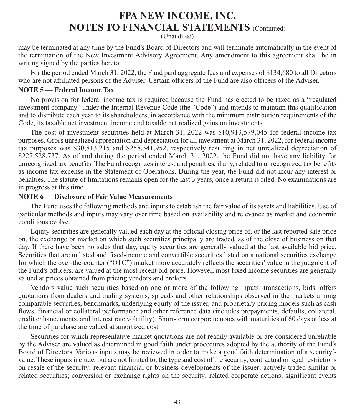(Unaudited)

may be terminated at any time by the Fund's Board of Directors and will terminate automatically in the event of the termination of the New Investment Advisory Agreement. Any amendment to this agreement shall be in writing signed by the parties hereto.

For the period ended March 31, 2022, the Fund paid aggregate fees and expenses of \$134,680 to all Directors who are not affiliated persons of the Adviser. Certain officers of the Fund are also officers of the Adviser.

#### **NOTE 5 — Federal Income Tax**

No provision for federal income tax is required because the Fund has elected to be taxed as a "regulated investment company" under the Internal Revenue Code (the "Code") and intends to maintain this qualification and to distribute each year to its shareholders, in accordance with the minimum distribution requirements of the Code, its taxable net investment income and taxable net realized gains on investments.

The cost of investment securities held at March 31, 2022 was \$10,913,579,045 for federal income tax purposes. Gross unrealized appreciation and depreciation for all investment at March 31, 2022, for federal income tax purposes was \$30,813,215 and \$258,341,952, respectively resulting in net unrealized depreciation of \$227,528,737. As of and during the period ended March 31, 2022, the Fund did not have any liability for unrecognized tax benefits. The Fund recognizes interest and penalties, if any, related to unrecognized tax benefits as income tax expense in the Statement of Operations. During the year, the Fund did not incur any interest or penalties. The statute of limitations remains open for the last 3 years, once a return is filed. No examinations are in progress at this time.

#### **NOTE 6 — Disclosure of Fair Value Measurements**

The Fund uses the following methods and inputs to establish the fair value of its assets and liabilities. Use of particular methods and inputs may vary over time based on availability and relevance as market and economic conditions evolve.

Equity securities are generally valued each day at the official closing price of, or the last reported sale price on, the exchange or market on which such securities principally are traded, as of the close of business on that day. If there have been no sales that day, equity securities are generally valued at the last available bid price. Securities that are unlisted and fixed-income and convertible securities listed on a national securities exchange for which the over-the-counter ("OTC") market more accurately reflects the securities' value in the judgment of the Fund's officers, are valued at the most recent bid price. However, most fixed income securities are generally valued at prices obtained from pricing vendors and brokers.

Vendors value such securities based on one or more of the following inputs: transactions, bids, offers quotations from dealers and trading systems, spreads and other relationships observed in the markets among comparable securities, benchmarks, underlying equity of the issuer, and proprietary pricing models such as cash flows, financial or collateral performance and other reference data (includes prepayments, defaults, collateral, credit enhancements, and interest rate volatility). Short-term corporate notes with maturities of 60 days or less at the time of purchase are valued at amortized cost.

Securities for which representative market quotations are not readily available or are considered unreliable by the Adviser are valued as determined in good faith under procedures adopted by the authority of the Fund's Board of Directors. Various inputs may be reviewed in order to make a good faith determination of a security's value. These inputs include, but are not limited to, the type and cost of the security; contractual or legal restrictions on resale of the security; relevant financial or business developments of the issuer; actively traded similar or related securities; conversion or exchange rights on the security; related corporate actions; significant events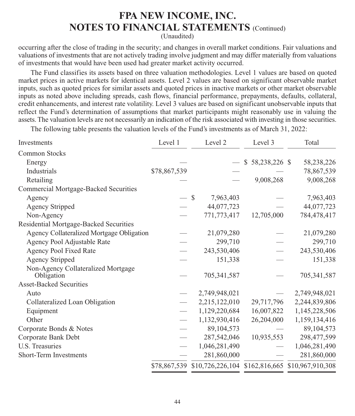(Unaudited)

occurring after the close of trading in the security; and changes in overall market conditions. Fair valuations and valuations of investments that are not actively trading involve judgment and may differ materially from valuations of investments that would have been used had greater market activity occurred.

The Fund classifies its assets based on three valuation methodologies. Level 1 values are based on quoted market prices in active markets for identical assets. Level 2 values are based on significant observable market inputs, such as quoted prices for similar assets and quoted prices in inactive markets or other market observable inputs as noted above including spreads, cash flows, financial performance, prepayments, defaults, collateral, credit enhancements, and interest rate volatility. Level 3 values are based on significant unobservable inputs that reflect the Fund's determination of assumptions that market participants might reasonably use in valuing the assets. The valuation levels are not necessarily an indication of the risk associated with investing in those securities.

The following table presents the valuation levels of the Fund's investments as of March 31, 2022:

| Investments                                      | Level 1      | Level 2                                                      | Level 3          | Total         |
|--------------------------------------------------|--------------|--------------------------------------------------------------|------------------|---------------|
| <b>Common Stocks</b>                             |              |                                                              |                  |               |
| Energy                                           |              |                                                              | $$58,238,226$ \$ | 58,238,226    |
| Industrials                                      | \$78,867,539 |                                                              |                  | 78,867,539    |
| Retailing                                        |              |                                                              | 9,008,268        | 9,008,268     |
| <b>Commercial Mortgage-Backed Securities</b>     |              |                                                              |                  |               |
| Agency                                           |              | $\mathbb{S}$<br>7,963,403                                    |                  | 7,963,403     |
| <b>Agency Stripped</b>                           |              | 44,077,723                                                   |                  | 44,077,723    |
| Non-Agency                                       |              | 771,773,417                                                  | 12,705,000       | 784,478,417   |
| Residential Mortgage-Backed Securities           |              |                                                              |                  |               |
| Agency Collateralized Mortgage Obligation        |              | 21,079,280                                                   |                  | 21,079,280    |
| Agency Pool Adjustable Rate                      |              | 299,710                                                      |                  | 299,710       |
| Agency Pool Fixed Rate                           |              | 243,530,406                                                  |                  | 243,530,406   |
| <b>Agency Stripped</b>                           |              | 151,338                                                      |                  | 151,338       |
| Non-Agency Collateralized Mortgage<br>Obligation |              | 705,341,587                                                  |                  | 705,341,587   |
| <b>Asset-Backed Securities</b>                   |              |                                                              |                  |               |
| Auto                                             |              | 2,749,948,021                                                |                  | 2,749,948,021 |
| Collateralized Loan Obligation                   |              | 2,215,122,010                                                | 29,717,796       | 2,244,839,806 |
| Equipment                                        |              | 1,129,220,684                                                | 16,007,822       | 1,145,228,506 |
| Other                                            |              | 1,132,930,416                                                | 26,204,000       | 1,159,134,416 |
| Corporate Bonds & Notes                          |              | 89,104,573                                                   |                  | 89,104,573    |
| Corporate Bank Debt                              |              | 287,542,046                                                  | 10,935,553       | 298,477,599   |
| U.S. Treasuries                                  |              | 1,046,281,490                                                |                  | 1,046,281,490 |
| Short-Term Investments                           |              | 281,860,000                                                  |                  | 281,860,000   |
|                                                  |              | \$78,867,539 \$10,726,226,104 \$162,816,665 \$10,967,910,308 |                  |               |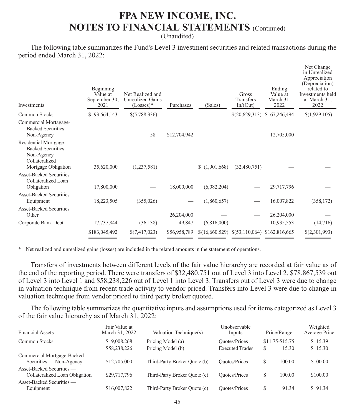(Unaudited)

The following table summarizes the Fund's Level 3 investment securities and related transactions during the period ended March 31, 2022:

| <b>Investments</b>                                                                                       | Beginning<br>Value at<br>September 30,<br>2021 | Net Realized and<br><b>Unrealized Gains</b><br>$(Losses)*$ | Purchases    | (Sales)     | Gross<br>Transfers<br>In/(Out)                 | Ending<br>Value at<br>March 31.<br>2022 | Net Change<br>in Unrealized<br>Appreciation<br>(Depreciation)<br>related to<br>Investments held<br>at March 31,<br>2022 |
|----------------------------------------------------------------------------------------------------------|------------------------------------------------|------------------------------------------------------------|--------------|-------------|------------------------------------------------|-----------------------------------------|-------------------------------------------------------------------------------------------------------------------------|
| Common Stocks                                                                                            | \$93,664,143                                   | \$(5,788,336)                                              |              |             | \$(20,629,313)                                 | \$67,246,494                            | \$(1,929,105)                                                                                                           |
| Commercial Mortagage-<br><b>Backed Securities</b><br>Non-Agency                                          |                                                | 58                                                         | \$12,704,942 |             |                                                | 12,705,000                              |                                                                                                                         |
| Residential Mortgage-<br><b>Backed Securities</b><br>Non-Agency<br>Collateralized<br>Mortgage Obligation | 35,620,000                                     | (1,237,581)                                                |              | (1,901,668) | (32,480,751)                                   |                                         |                                                                                                                         |
| <b>Asset-Backed Securities</b><br>Collateralized Loan<br>Obligation                                      | 17,800,000                                     |                                                            | 18,000,000   | (6,082,204) |                                                | 29,717,796                              |                                                                                                                         |
| <b>Asset-Backed Securities</b><br>Equipment                                                              | 18,223,505                                     | (355, 026)                                                 |              | (1,860,657) |                                                | 16,007,822                              | (358, 172)                                                                                                              |
| <b>Asset-Backed Securities</b><br>Other                                                                  |                                                |                                                            | 26,204,000   |             |                                                | 26,204,000                              |                                                                                                                         |
| Corporate Bank Debt                                                                                      | 17,737,844                                     | (36, 138)                                                  | 49,847       | (6,816,000) |                                                | 10,935,553                              | (14,716)                                                                                                                |
|                                                                                                          | \$183,045,492                                  | \$(7,417,023)                                              | \$56,958,789 |             | $$(16,660,529) \$(53,110,064) \$(162,816,665)$ |                                         | \$(2,301,993)                                                                                                           |
|                                                                                                          |                                                |                                                            |              |             |                                                |                                         |                                                                                                                         |

\* Net realized and unrealized gains (losses) are included in the related amounts in the statement of operations.

Transfers of investments between different levels of the fair value hierarchy are recorded at fair value as of the end of the reporting period. There were transfers of \$32,480,751 out of Level 3 into Level 2, \$78,867,539 out of Level 3 into Level 1 and \$58,238,226 out of Level 1 into Level 3. Transfers out of Level 3 were due to change in valuation technique from recent trade activity to vendor priced. Transfers into Level 3 were due to change in valuation technique from vendor priced to third party broker quoted.

The following table summarizes the quantitative inputs and assumptions used for items categorized as Level 3 of the fair value hierarchy as of March 31, 2022:

| <b>Financial Assets</b>                                     | Fair Value at<br>March 31, 2022 | Valuation Technique(s)       | Unobservable<br>Inputs |   | Price/Range     | Weighted<br>Average Price |
|-------------------------------------------------------------|---------------------------------|------------------------------|------------------------|---|-----------------|---------------------------|
| <b>Common Stocks</b>                                        | \$9,008,268                     | Pricing Model (a)            | <b>Ouotes/Prices</b>   |   | \$11.75-\$15.75 | \$15.39                   |
|                                                             | \$58,238,226                    | Pricing Model (b)            | <b>Executed Trades</b> | S | 15.30           | \$15.30                   |
| Commercial Mortgage-Backed<br>Securities — Non-Agency       | \$12,705,000                    | Third-Party Broker Quote (b) | <b>Ouotes/Prices</b>   | S | 100.00          | \$100.00                  |
| Asset-Backed Securities —<br>Collateralized Loan Obligation | \$29,717,796                    | Third-Party Broker Quote (c) | <b>Ouotes/Prices</b>   | S | 100.00          | \$100.00                  |
| Asset-Backed Securities —<br>Equipment                      | \$16,007,822                    | Third-Party Broker Quote (c) | <b>Ouotes/Prices</b>   | S | 91.34           | \$91.34                   |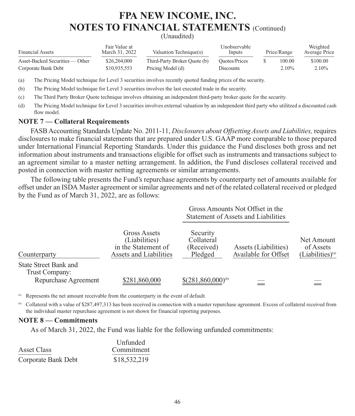(Unaudited)

| <b>Financial Assets</b>         | Fair Value at<br>March 31, 2022 | Valuation Technique(s)       | Unobservable<br>Inputs | Price/Range | Weighted<br>Average Price |
|---------------------------------|---------------------------------|------------------------------|------------------------|-------------|---------------------------|
| Asset-Backed Securities — Other | \$26,204,000                    | Third-Party Broker Quote (b) | Ouotes/Prices          | 100.00      | \$100.00                  |
| Corporate Bank Debt             | \$10.935.553                    | Pricing Model (d)            | <b>Discounts</b>       | $2.10\%$    | $2.10\%$                  |

(a) The Pricing Model technique for Level 3 securities involves recently quoted funding prices of the security.

(b) The Pricing Model technique for Level 3 securities involves the last executed trade in the security.

(c) The Third Party Broker Quote technique involves obtaining an independent third-party broker quote for the security.

(d) The Pricing Model technique for Level 3 securities involves external valuation by an independent third party who utilitzed a discounted cash flow model

#### **NOTE 7 — Collateral Requirements**

FASB Accounting Standards Update No. 2011-11, *Disclosures about Offsetting Assets and Liabilities,* requires disclosures to make financial statements that are prepared under U.S. GAAP more comparable to those prepared under International Financial Reporting Standards. Under this guidance the Fund discloses both gross and net information about instruments and transactions eligible for offset such as instruments and transactions subject to an agreement similar to a master netting arrangement. In addition, the Fund discloses collateral received and posted in connection with master netting agreements or similar arrangements.

The following table presents the Fund's repurchase agreements by counterparty net of amounts available for offset under an ISDA Master agreement or similar agreements and net of the related collateral received or pledged by the Fund as of March 31, 2022, are as follows:

|                                                                        |                                                                                | Gross Amounts Not Offset in the<br>Statement of Assets and Liabilities |                                              |                                                  |
|------------------------------------------------------------------------|--------------------------------------------------------------------------------|------------------------------------------------------------------------|----------------------------------------------|--------------------------------------------------|
| Counterparty                                                           | Gross Assets<br>(Liabilities)<br>in the Statement of<br>Assets and Liabilities | Security<br>Collateral<br>(Received)<br>Pledged                        | Assets (Liabilities)<br>Available for Offset | Net Amount<br>of Assets<br>$(Liabilities)^{(a)}$ |
| <b>State Street Bank and</b><br>Trust Company:<br>Repurchase Agreement | \$281,860,000                                                                  | $$(281,860,000)^{6}$                                                   |                                              |                                                  |

Represents the net amount receivable from the counterparty in the event of default.

(b) Collateral with a value of \$287,497,313 has been received in connection with a master repurchase agreement. Excess of collateral received from the individual master repurchase agreement is not shown for financial reporting purposes.

#### **NOTE 8 — Commitments**

As of March 31, 2022, the Fund was liable for the following unfunded commitments:

|                     | Unfunded     |
|---------------------|--------------|
| Asset Class         | Commitment   |
| Corporate Bank Debt | \$18,532,219 |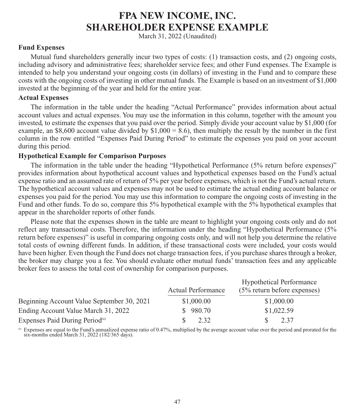### **FPA NEW INCOME, INC. SHAREHOLDER EXPENSE EXAMPLE**

March 31, 2022 (Unaudited)

#### **Fund Expenses**

Mutual fund shareholders generally incur two types of costs: (1) transaction costs, and (2) ongoing costs, including advisory and administrative fees; shareholder service fees; and other Fund expenses. The Example is intended to help you understand your ongoing costs (in dollars) of investing in the Fund and to compare these costs with the ongoing costs of investing in other mutual funds. The Example is based on an investment of \$1,000 invested at the beginning of the year and held for the entire year.

#### **Actual Expenses**

The information in the table under the heading "Actual Performance" provides information about actual account values and actual expenses. You may use the information in this column, together with the amount you invested, to estimate the expenses that you paid over the period. Simply divide your account value by \$1,000 (for example, an \$8,600 account value divided by  $$1,000 = 8.6$ ), then multiply the result by the number in the first column in the row entitled "Expenses Paid During Period" to estimate the expenses you paid on your account during this period.

#### **Hypothetical Example for Comparison Purposes**

The information in the table under the heading "Hypothetical Performance (5% return before expenses)" provides information about hypothetical account values and hypothetical expenses based on the Fund's actual expense ratio and an assumed rate of return of 5% per year before expenses, which is not the Fund's actual return. The hypothetical account values and expenses may not be used to estimate the actual ending account balance or expenses you paid for the period. You may use this information to compare the ongoing costs of investing in the Fund and other funds. To do so, compare this 5% hypothetical example with the 5% hypothetical examples that appear in the shareholder reports of other funds.

Please note that the expenses shown in the table are meant to highlight your ongoing costs only and do not reflect any transactional costs. Therefore, the information under the heading "Hypothetical Performance (5% return before expenses)" is useful in comparing ongoing costs only, and will not help you determine the relative total costs of owning different funds. In addition, if these transactional costs were included, your costs would have been higher. Even though the Fund does not charge transaction fees, if you purchase shares through a broker, the broker may charge you a fee. You should evaluate other mutual funds' transaction fees and any applicable broker fees to assess the total cost of ownership for comparison purposes.

|                                            | <b>Actual Performance</b> | <b>Hypothetical Performance</b><br>$(5\%$ return before expenses) |  |  |
|--------------------------------------------|---------------------------|-------------------------------------------------------------------|--|--|
| Beginning Account Value September 30, 2021 | \$1,000.00                | \$1,000.00                                                        |  |  |
| Ending Account Value March 31, 2022        | \$980.70                  | \$1,022.59                                                        |  |  |
| Expenses Paid During Period <sup>(a)</sup> | 2.32                      | 2.37                                                              |  |  |

(a) Expenses are equal to the Fund's annualized expense ratio of 0.47%, multiplied by the average account value over the period and prorated for the six-months ended March 31, 2022 (182/365 days).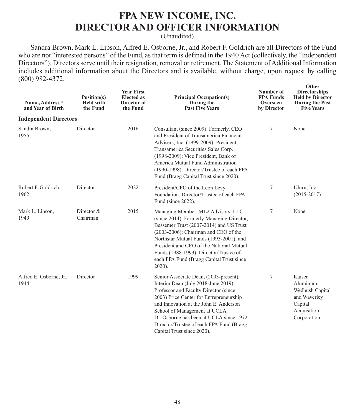### **FPA NEW INCOME, INC. DIRECTOR AND OFFICER INFORMATION**

(Unaudited)

Sandra Brown, Mark L. Lipson, Alfred E. Osborne, Jr., and Robert F. Goldrich are all Directors of the Fund who are not "interested persons" of the Fund, as that term is defined in the 1940 Act (collectively, the "Independent Directors"). Directors serve until their resignation, removal or retirement. The Statement of Additional Information includes additional information about the Directors and is available, without charge, upon request by calling (800) 982-4372.

| Name, Address <sup>(1)</sup><br>and Year of Birth | Position(s)<br><b>Held with</b><br>the Fund | <b>Year First</b><br><b>Elected</b> as<br>Director of<br>the Fund | <b>Principal Occupation(s)</b><br>During the<br><b>Past Five Years</b>                                                                                                                                                                                                                                                                                             | Number of<br><b>FPA Funds</b><br>Overseen<br>by Director | Other<br><b>Directorships</b><br><b>Held by Director</b><br>During the Past<br><b>Five Years</b> |
|---------------------------------------------------|---------------------------------------------|-------------------------------------------------------------------|--------------------------------------------------------------------------------------------------------------------------------------------------------------------------------------------------------------------------------------------------------------------------------------------------------------------------------------------------------------------|----------------------------------------------------------|--------------------------------------------------------------------------------------------------|
| <b>Independent Directors</b>                      |                                             |                                                                   |                                                                                                                                                                                                                                                                                                                                                                    |                                                          |                                                                                                  |
| Sandra Brown,<br>1955                             | Director                                    | 2016                                                              | Consultant (since 2009). Formerly, CEO<br>and President of Transamerica Financial<br>Advisers, Inc. (1999-2009); President,<br>Transamerica Securities Sales Corp.<br>(1998-2009); Vice President, Bank of<br>America Mutual Fund Administration<br>(1990-1998). Director/Trustee of each FPA<br>Fund (Bragg Capital Trust since 2020).                            | 7                                                        | None                                                                                             |
| Robert F. Goldrich,<br>1962                       | Director                                    | 2022                                                              | President/CFO of the Leon Levy<br>Foundation. Director/Trustee of each FPA<br>Fund (since 2022).                                                                                                                                                                                                                                                                   | 7                                                        | Uluru, Inc<br>$(2015 - 2017)$                                                                    |
| Mark L. Lipson,<br>1949                           | Director &<br>Chairman                      | 2015                                                              | Managing Member, ML2 Advisors, LLC<br>(since 2014). Formerly Managing Director,<br>Bessemer Trust (2007-2014) and US Trust<br>$(2003-2006)$ ; Chairman and CEO of the<br>Northstar Mutual Funds (1993-2001); and<br>President and CEO of the National Mutual<br>Funds (1988-1993). Director/Trustee of<br>each FPA Fund (Bragg Capital Trust since<br>$2020$ ).    | 7                                                        | None                                                                                             |
| Alfred E. Osborne, Jr.,<br>1944                   | Director                                    | 1999                                                              | Senior Associate Dean, (2003-present),<br>Interim Dean (July 2018-June 2019),<br>Professor and Faculty Director (since<br>2003) Price Center for Entrepreneurship<br>and Innovation at the John E. Anderson<br>School of Management at UCLA.<br>Dr. Osborne has been at UCLA since 1972.<br>Director/Trustee of each FPA Fund (Bragg<br>Capital Trust since 2020). | 7                                                        | Kaiser<br>Aluminum,<br>Wedbush Capital<br>and Waverley<br>Capital<br>Acquisition<br>Corporation  |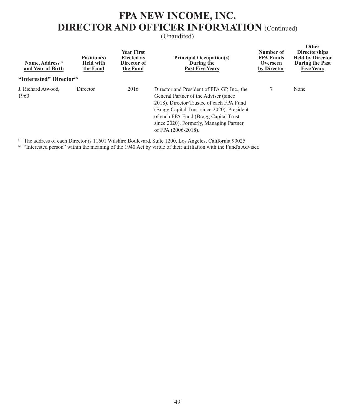## **FPA NEW INCOME, INC. DIRECTOR AND OFFICER INFORMATION** (Continued)

(Unaudited)

| Name, Address <sup>(1)</sup><br>and Year of Birth | Position(s)<br><b>Held with</b><br>the Fund | <b>Year First</b><br>Elected as<br>Director of<br>the Fund | <b>Principal Occupation(s)</b><br>During the<br><b>Past Five Years</b>                                                                                                                                                                                                                       | Number of<br><b>FPA Funds</b><br>Overseen<br>by Director | Other<br><b>Directorships</b><br><b>Held by Director</b><br><b>During the Past</b><br><b>Five Years</b> |
|---------------------------------------------------|---------------------------------------------|------------------------------------------------------------|----------------------------------------------------------------------------------------------------------------------------------------------------------------------------------------------------------------------------------------------------------------------------------------------|----------------------------------------------------------|---------------------------------------------------------------------------------------------------------|
| "Interested" Director <sup>(2)</sup>              |                                             |                                                            |                                                                                                                                                                                                                                                                                              |                                                          |                                                                                                         |
| J. Richard Atwood.<br>1960                        | Director                                    | 2016                                                       | Director and President of FPA GP, Inc., the<br>General Partner of the Adviser (since)<br>2018). Director/Trustee of each FPA Fund<br>(Bragg Capital Trust since 2020). President<br>of each FPA Fund (Bragg Capital Trust)<br>since 2020). Formerly, Managing Partner<br>of FPA (2006-2018). |                                                          | None                                                                                                    |

(1) The address of each Director is 11601 Wilshire Boulevard, Suite 1200, Los Angeles, California 90025.

<sup>(2)</sup> "Interested person" within the meaning of the 1940 Act by virtue of their affiliation with the Fund's Adviser.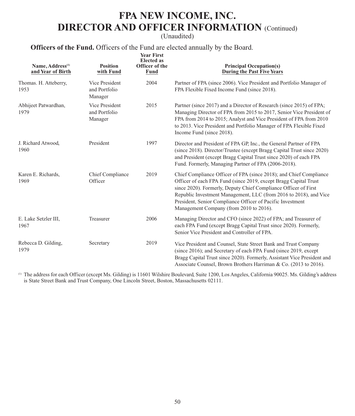## **FPA NEW INCOME, INC. DIRECTOR AND OFFICER INFORMATION** (Continued)

(Unaudited)

**Officers of the Fund.** Officers of the Fund are elected annually by the Board.

| Name, Address <sup>(1)</sup><br>and Year of Birth | <b>Position</b><br>with Fund               | <b>Year First</b><br><b>Elected</b> as<br><b>Officer of the</b><br>Fund | <b>Principal Occupation(s)</b><br><b>During the Past Five Years</b>                                                                                                                                                                                                                                                                                                                      |
|---------------------------------------------------|--------------------------------------------|-------------------------------------------------------------------------|------------------------------------------------------------------------------------------------------------------------------------------------------------------------------------------------------------------------------------------------------------------------------------------------------------------------------------------------------------------------------------------|
| Thomas. H. Atteberry,<br>1953                     | Vice President<br>and Portfolio<br>Manager | 2004                                                                    | Partner of FPA (since 2006). Vice President and Portfolio Manager of<br>FPA Flexible Fixed Income Fund (since 2018).                                                                                                                                                                                                                                                                     |
| Abhijeet Patwardhan,<br>1979                      | Vice President<br>and Portfolio<br>Manager | 2015                                                                    | Partner (since 2017) and a Director of Research (since 2015) of FPA;<br>Managing Director of FPA from 2015 to 2017, Senior Vice President of<br>FPA from 2014 to 2015; Analyst and Vice President of FPA from 2010<br>to 2013. Vice President and Portfolio Manager of FPA Flexible Fixed<br>Income Fund (since 2018).                                                                   |
| J. Richard Atwood,<br>1960                        | President                                  | 1997                                                                    | Director and President of FPA GP, Inc., the General Partner of FPA<br>(since 2018). Director/Trustee (except Bragg Capital Trust since 2020)<br>and President (except Bragg Capital Trust since 2020) of each FPA<br>Fund. Formerly, Managing Partner of FPA (2006-2018).                                                                                                                |
| Karen E. Richards,<br>1969                        | Chief Compliance<br>Officer                | 2019                                                                    | Chief Compliance Officer of FPA (since 2018); and Chief Compliance<br>Officer of each FPA Fund (since 2019, except Bragg Capital Trust)<br>since 2020). Formerly, Deputy Chief Compliance Officer of First<br>Republic Investment Management, LLC (from 2016 to 2018), and Vice<br>President, Senior Compliance Officer of Pacific Investment<br>Management Company (from 2010 to 2016). |
| E. Lake Setzler III,<br>1967                      | Treasurer                                  | 2006                                                                    | Managing Director and CFO (since 2022) of FPA; and Treasurer of<br>each FPA Fund (except Bragg Capital Trust since 2020). Formerly,<br>Senior Vice President and Controller of FPA.                                                                                                                                                                                                      |
| Rebecca D. Gilding,<br>1979                       | Secretary                                  | 2019                                                                    | Vice President and Counsel, State Street Bank and Trust Company<br>(since 2016); and Secretary of each FPA Fund (since 2019, except<br>Bragg Capital Trust since 2020). Formerly, Assistant Vice President and<br>Associate Counsel, Brown Brothers Harriman & Co. (2013 to 2016).                                                                                                       |

 (1) The address for each Officer (except Ms. Gilding) is 11601 Wilshire Boulevard, Suite 1200, Los Angeles, California 90025. Ms. Gilding's address is State Street Bank and Trust Company, One Lincoln Street, Boston, Massachusetts 02111.